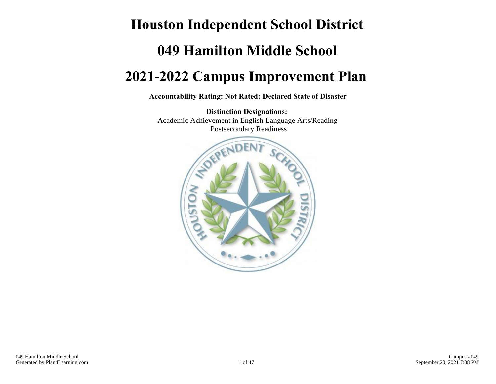# **Houston Independent School District 049 Hamilton Middle School 2021-2022 Campus Improvement Plan**

**Accountability Rating: Not Rated: Declared State of Disaster**

**Distinction Designations:** Academic Achievement in English Language Arts/Reading Postsecondary Readiness

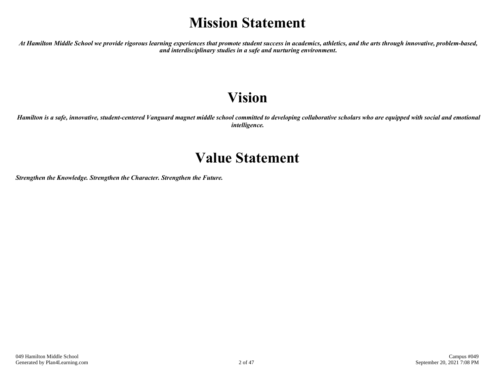## **Mission Statement**

*At Hamilton Middle School we provide rigorous learning experiences that promote student success in academics, athletics, and the arts through innovative, problem-based, and interdisciplinary studies in a safe and nurturing environment***.**

## **Vision**

*Hamilton is a safe, innovative, student-centered Vanguard magnet middle school committed to developing collaborative scholars who are equipped with social and emotional intelligence.*

## **Value Statement**

*Strengthen the Knowledge. Strengthen the Character. Strengthen the Future.*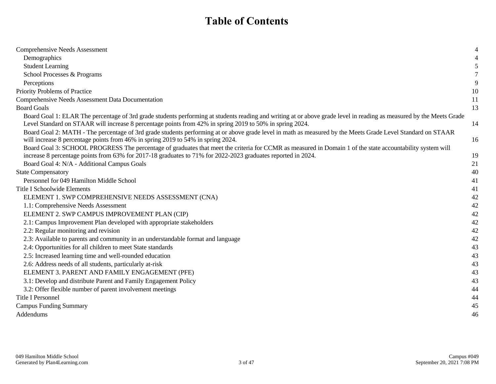## **Table of Contents**

| <b>Comprehensive Needs Assessment</b>                                                                                                                                                                                                                                     |    |
|---------------------------------------------------------------------------------------------------------------------------------------------------------------------------------------------------------------------------------------------------------------------------|----|
| Demographics                                                                                                                                                                                                                                                              |    |
| <b>Student Learning</b>                                                                                                                                                                                                                                                   |    |
| School Processes & Programs                                                                                                                                                                                                                                               |    |
| Perceptions                                                                                                                                                                                                                                                               | 9  |
| Priority Problems of Practice                                                                                                                                                                                                                                             | 10 |
| Comprehensive Needs Assessment Data Documentation                                                                                                                                                                                                                         | 11 |
| <b>Board Goals</b>                                                                                                                                                                                                                                                        | 13 |
| Board Goal 1: ELAR The percentage of 3rd grade students performing at students reading and writing at or above grade level in reading as measured by the Meets Grade                                                                                                      |    |
| Level Standard on STAAR will increase 8 percentage points from 42% in spring 2019 to 50% in spring 2024.                                                                                                                                                                  | 14 |
| Board Goal 2: MATH - The percentage of 3rd grade students performing at or above grade level in math as measured by the Meets Grade Level Standard on STAAR<br>will increase 8 percentage points from 46% in spring 2019 to 54% in spring 2024.                           | 16 |
| Board Goal 3: SCHOOL PROGRESS The percentage of graduates that meet the criteria for CCMR as measured in Domain 1 of the state accountability system will<br>increase 8 percentage points from 63% for 2017-18 graduates to 71% for 2022-2023 graduates reported in 2024. | 19 |
| Board Goal 4: N/A - Additional Campus Goals                                                                                                                                                                                                                               | 21 |
| <b>State Compensatory</b>                                                                                                                                                                                                                                                 | 40 |
| Personnel for 049 Hamilton Middle School                                                                                                                                                                                                                                  | 41 |
| Title I Schoolwide Elements                                                                                                                                                                                                                                               | 41 |
| ELEMENT 1. SWP COMPREHENSIVE NEEDS ASSESSMENT (CNA)                                                                                                                                                                                                                       | 42 |
| 1.1: Comprehensive Needs Assessment                                                                                                                                                                                                                                       | 42 |
| ELEMENT 2. SWP CAMPUS IMPROVEMENT PLAN (CIP)                                                                                                                                                                                                                              | 42 |
| 2.1: Campus Improvement Plan developed with appropriate stakeholders                                                                                                                                                                                                      | 42 |
| 2.2: Regular monitoring and revision                                                                                                                                                                                                                                      | 42 |
| 2.3: Available to parents and community in an understandable format and language                                                                                                                                                                                          | 42 |
| 2.4: Opportunities for all children to meet State standards                                                                                                                                                                                                               | 43 |
| 2.5: Increased learning time and well-rounded education                                                                                                                                                                                                                   | 43 |
| 2.6: Address needs of all students, particularly at-risk                                                                                                                                                                                                                  | 43 |
| ELEMENT 3. PARENT AND FAMILY ENGAGEMENT (PFE)                                                                                                                                                                                                                             | 43 |
| 3.1: Develop and distribute Parent and Family Engagement Policy                                                                                                                                                                                                           | 43 |
| 3.2: Offer flexible number of parent involvement meetings                                                                                                                                                                                                                 | 44 |
| <b>Title I Personnel</b>                                                                                                                                                                                                                                                  | 44 |
| <b>Campus Funding Summary</b>                                                                                                                                                                                                                                             | 45 |
| Addendums                                                                                                                                                                                                                                                                 | 46 |
|                                                                                                                                                                                                                                                                           |    |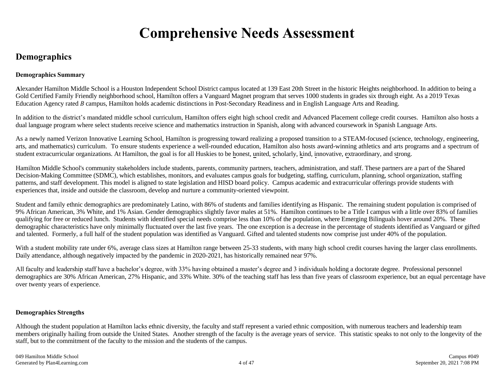## **Comprehensive Needs Assessment**

### **Demographics**

### **Demographics Summary**

**A**lexander Hamilton Middle School is a Houston Independent School District campus located at 139 East 20th Street in the historic Heights neighborhood. In addition to being a Gold Certified Family Friendly neighborhood school, Hamilton offers a Vanguard Magnet program that serves 1000 students in grades six through eight. As a 2019 Texas Education Agency rated *B* campus, Hamilton holds academic distinctions in Post-Secondary Readiness and in English Language Arts and Reading.

In addition to the district's mandated middle school curriculum, Hamilton offers eight high school credit and Advanced Placement college credit courses. Hamilton also hosts a dual language program where select students receive science and mathematics instruction in Spanish, along with advanced coursework in Spanish Language Arts.

As a newly named Verizon Innovative Learning School, Hamilton is progressing toward realizing a proposed transition to a STEAM-focused (science, technology, engineering, arts, and mathematics) curriculum. To ensure students experience a well-rounded education, Hamilton also hosts award-winning athletics and arts programs and a spectrum of student extracurricular organizations. At Hamilton, the goal is for all Huskies to be honest, united, scholarly, kind, innovative, extraordinary, and strong.

Hamilton Middle School's community stakeholders include students, parents, community partners, teachers, administration, and staff. These partners are a part of the Shared Decision-Making Committee (SDMC), which establishes, monitors, and evaluates campus goals for budgeting, staffing, curriculum, planning, school organization, staffing patterns, and staff development. This model is aligned to state legislation and HISD board policy. Campus academic and extracurricular offerings provide students with experiences that, inside and outside the classroom, develop and nurture a community-oriented viewpoint.

Student and family ethnic demographics are predominately Latino, with 86% of students and families identifying as Hispanic. The remaining student population is comprised of 9% African American, 3% White, and 1% Asian. Gender demographics slightly favor males at 51%. Hamilton continues to be a Title I campus with a little over 83% of families qualifying for free or reduced lunch. Students with identified special needs comprise less than 10% of the population, where Emerging Bilinguals hover around 20%. These demographic characteristics have only minimally fluctuated over the last five years. The one exception is a decrease in the percentage of students identified as Vanguard or gifted and talented. Formerly, a full half of the student population was identified as Vanguard. Gifted and talented students now comprise just under 40% of the population.

With a student mobility rate under 6%, average class sizes at Hamilton range between 25-33 students, with many high school credit courses having the larger class enrollments. Daily attendance, although negatively impacted by the pandemic in 2020-2021, has historically remained near 97%.

All faculty and leadership staff have a bachelor's degree, with 33% having obtained a master's degree and 3 individuals holding a doctorate degree. Professional personnel demographics are 30% African American, 27% Hispanic, and 33% White. 30% of the teaching staff has less than five years of classroom experience, but an equal percentage have over twenty years of experience.

### **Demographics Strengths**

Although the student population at Hamilton lacks ethnic diversity, the faculty and staff represent a varied ethnic composition, with numerous teachers and leadership team members originally hailing from outside the United States. Another strength of the faculty is the average years of service. This statistic speaks to not only to the longevity of the staff, but to the commitment of the faculty to the mission and the students of the campus.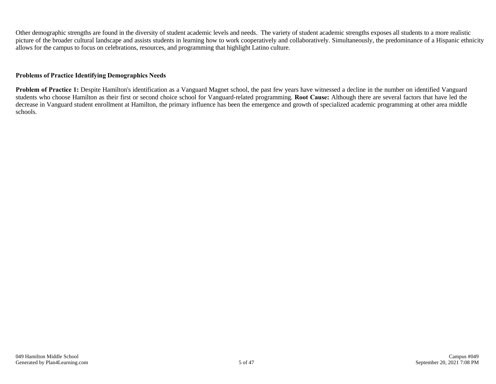Other demographic strengths are found in the diversity of student academic levels and needs. The variety of student academic strengths exposes all students to a more realistic picture of the broader cultural landscape and assists students in learning how to work cooperatively and collaboratively. Simultaneously, the predominance of a Hispanic ethnicity allows for the campus to focus on celebrations, resources, and programming that highlight Latino culture.

#### **Problems of Practice Identifying Demographics Needs**

**Problem of Practice 1:** Despite Hamilton's identification as a Vanguard Magnet school, the past few years have witnessed a decline in the number on identified Vanguard students who choose Hamilton as their first or second choice school for Vanguard-related programming. **Root Cause:** Although there are several factors that have led the decrease in Vanguard student enrollment at Hamilton, the primary influence has been the emergence and growth of specialized academic programming at other area middle schools.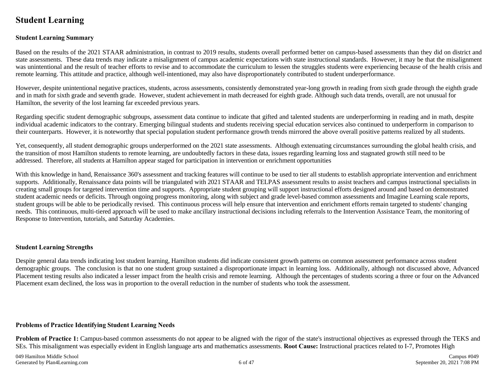### **Student Learning**

#### **Student Learning Summary**

Based on the results of the 2021 STAAR administration, in contrast to 2019 results, students overall performed better on campus-based assessments than they did on district and state assessments. These data trends may indicate a misalignment of campus academic expectations with state instructional standards. However, it may be that the misalignment was unintentional and the result of teacher efforts to revise and to accommodate the curriculum to lessen the struggles students were experiencing because of the health crisis and remote learning. This attitude and practice, although well-intentioned, may also have disproportionately contributed to student underperformance.

However, despite unintentional negative practices, students, across assessments, consistently demonstrated year-long growth in reading from sixth grade through the eighth grade and in math for sixth grade and seventh grade. However, student achievement in math decreased for eighth grade. Although such data trends, overall, are not unusual for Hamilton, the severity of the lost learning far exceeded previous years.

Regarding specific student demographic subgroups, assessment data continue to indicate that gifted and talented students are underperforming in reading and in math, despite individual academic indicators to the contrary. Emerging bilingual students and students receiving special education services also continued to underperform in comparison to their counterparts. However, it is noteworthy that special population student performance growth trends mirrored the above overall positive patterns realized by all students.

Yet, consequently, all student demographic groups underperformed on the 2021 state assessments. Although extenuating circumstances surrounding the global health crisis, and the transition of most Hamilton students to remote learning, are undoubtedly factors in these data, issues regarding learning loss and stagnated growth still need to be addressed. Therefore, all students at Hamilton appear staged for participation in intervention or enrichment opportunities

With this knowledge in hand, Renaissance 360's assessment and tracking features will continue to be used to tier all students to establish appropriate intervention and enrichment supports. Additionally, Renaissance data points will be triangulated with 2021 STAAR and TELPAS assessment results to assist teachers and campus instructional specialists in creating small groups for targeted intervention time and supports. Appropriate student grouping will support instructional efforts designed around and based on demonstrated student academic needs or deficits. Through ongoing progress monitoring, along with subject and grade level-based common assessments and Imagine Learning scale reports, student groups will be able to be periodically revised. This continuous process will help ensure that intervention and enrichment efforts remain targeted to students' changing needs. This continuous, multi-tiered approach will be used to make ancillary instructional decisions including referrals to the Intervention Assistance Team, the monitoring of Response to Intervention, tutorials, and Saturday Academies.

#### **Student Learning Strengths**

Despite general data trends indicating lost student learning, Hamilton students did indicate consistent growth patterns on common assessment performance across student demographic groups. The conclusion is that no one student group sustained a disproportionate impact in learning loss. Additionally, although not discussed above, Advanced Placement testing results also indicated a lesser impact from the health crisis and remote learning. Although the percentages of students scoring a three or four on the Advanced Placement exam declined, the loss was in proportion to the overall reduction in the number of students who took the assessment.

#### **Problems of Practice Identifying Student Learning Needs**

**Problem of Practice 1:** Campus-based common assessments do not appear to be aligned with the rigor of the state's instructional objectives as expressed through the TEKS and SEs. This misalignment was especially evident in English language arts and mathematics assessments. **Root Cause:** Instructional practices related to I-7, Promotes High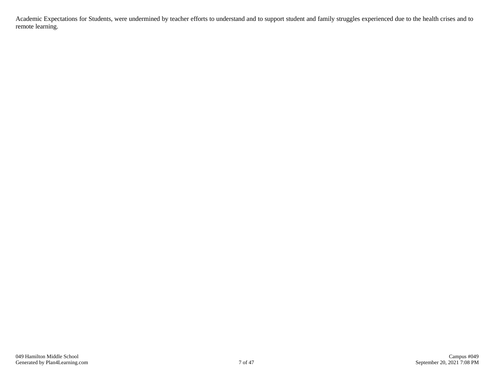Academic Expectations for Students, were undermined by teacher efforts to understand and to support student and family struggles experienced due to the health crises and to remote learning.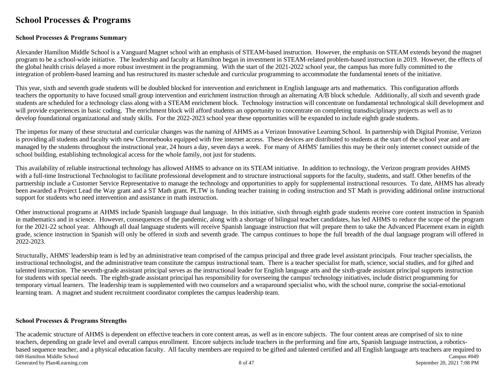### **School Processes & Programs**

#### **School Processes & Programs Summary**

Alexander Hamilton Middle School is a Vanguard Magnet school with an emphasis of STEAM-based instruction. However, the emphasis on STEAM extends beyond the magnet program to be a school-wide initiative. The leadership and faculty at Hamilton began in investment in STEAM-related problem-based instruction in 2019. However, the effects of the global health crisis delayed a more robust investment in the programming. With the start of the 2021-2022 school year, the campus has more fully committed to the integration of problem-based learning and has restructured its master schedule and curricular programming to accommodate the fundamental tenets of the initiative.

This year, sixth and seventh grade students will be doubled blocked for intervention and enrichment in English language arts and mathematics. This configuration affords teachers the opportunity to have focused small group intervention and enrichment instruction through an alternating A/B block schedule. Additionally, all sixth and seventh grade students are scheduled for a technology class along with a STEAM enrichment block. Technology instruction will concentrate on fundamental technological skill development and will provide experiences in basic coding. The enrichment block will afford students an opportunity to concentrate on completing transdisciplinary projects as well as to develop foundational organizational and study skills. For the 2022-2023 school year these opportunities will be expanded to include eighth grade students.

The impetus for many of these structural and curricular changes was the naming of AHMS as a Verizon Innovative Learning School. In partnership with Digital Promise, Verizon is providing all students and faculty with new Chromebooks equipped with free internet access. These devices are distributed to students at the start of the school year and are managed by the students throughout the instructional year, 24 hours a day, seven days a week. For many of AHMS' families this may be their only internet connect outside of the school building, establishing technological access for the whole family, not just for students.

This availability of reliable instructional technology has allowed AHMS to advance on its STEAM initiative. In addition to technology, the Verizon program provides AHMS with a full-time Instructional Technologist to facilitate professional development and to structure instructional supports for the faculty, students, and staff. Other benefits of the partnership include a Customer Service Representative to manage the technology and opportunities to apply for supplemental instructional resources. To date, AHMS has already been awarded a Project Lead the Way grant and a ST Math grant. PLTW is funding teacher training in coding instruction and ST Math is providing additional online instructional support for students who need intervention and assistance in math instruction.

Other instructional programs at AHMS include Spanish language dual language. In this initiative, sixth through eighth grade students receive core content instruction in Spanish in mathematics and in science. However, consequences of the pandemic, along with a shortage of bilingual teacher candidates, has led AHMS to reduce the scope of the program for the 2021-22 school year. Although all dual language students will receive Spanish language instruction that will prepare them to take the Advanced Placement exam in eighth grade, science instruction in Spanish will only be offered in sixth and seventh grade. The campus continues to hope the full breadth of the dual language program will offered in 2022-2023.

Structurally, AHMS' leadership team is led by an administrative team comprised of the campus principal and three grade level assistant principals. Four teacher specialists, the instructional technologist, and the administrative team constitute the campus instructional team. There is a teacher specialist for math, science, social studies, and for gifted and talented instruction. The seventh-grade assistant principal serves as the instructional leader for English language arts and the sixth-grade assistant principal supports instruction for students with special needs. The eighth-grade assistant principal has responsibility for overseeing the campus' technology initiatives, include district programming for temporary virtual learners. The leadership team is supplemented with two counselors and a wraparound specialist who, with the school nurse, comprise the social-emotional learning team. A magnet and student recruitment coordinator completes the campus leadership team.

#### **School Processes & Programs Strengths**

The academic structure of AHMS is dependent on effective teachers in core content areas, as well as in encore subjects. The four content areas are comprised of six to nine teachers, depending on grade level and overall campus enrollment. Encore subjects include teachers in the performing and fine arts, Spanish language instruction, a roboticsbased sequence teacher, and a physical education faculty. All faculty members are required to be gifted and talented certified and all English language arts teachers are required to 049 Hamilton Middle School Campus #049<br>
049 Hamilton Middle School Campus #049<br>
06 October 20, 2021 7:08 PM Generated by Plan4Learning.com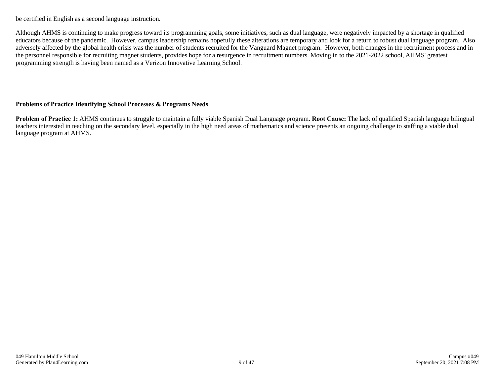be certified in English as a second language instruction.

Although AHMS is continuing to make progress toward its programming goals, some initiatives, such as dual language, were negatively impacted by a shortage in qualified educators because of the pandemic. However, campus leadership remains hopefully these alterations are temporary and look for a return to robust dual language program. Also adversely affected by the global health crisis was the number of students recruited for the Vanguard Magnet program. However, both changes in the recruitment process and in the personnel responsible for recruiting magnet students, provides hope for a resurgence in recruitment numbers. Moving in to the 2021-2022 school, AHMS' greatest programming strength is having been named as a Verizon Innovative Learning School.

### **Problems of Practice Identifying School Processes & Programs Needs**

**Problem of Practice 1:** AHMS continues to struggle to maintain a fully viable Spanish Dual Language program. **Root Cause:** The lack of qualified Spanish language bilingual teachers interested in teaching on the secondary level, especially in the high need areas of mathematics and science presents an ongoing challenge to staffing a viable dual language program at AHMS.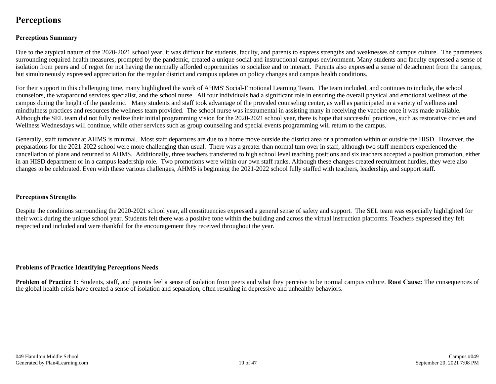### **Perceptions**

### **Perceptions Summary**

Due to the atypical nature of the 2020-2021 school year, it was difficult for students, faculty, and parents to express strengths and weaknesses of campus culture. The parameters surrounding required health measures, prompted by the pandemic, created a unique social and instructional campus environment. Many students and faculty expressed a sense of isolation from peers and of regret for not having the normally afforded opportunities to socialize and to interact. Parents also expressed a sense of detachment from the campus, but simultaneously expressed appreciation for the regular district and campus updates on policy changes and campus health conditions.

For their support in this challenging time, many highlighted the work of AHMS' Social-Emotional Learning Team. The team included, and continues to include, the school counselors, the wraparound services specialist, and the school nurse. All four individuals had a significant role in ensuring the overall physical and emotional wellness of the campus during the height of the pandemic. Many students and staff took advantage of the provided counseling center, as well as participated in a variety of wellness and mindfulness practices and resources the wellness team provided. The school nurse was instrumental in assisting many in receiving the vaccine once it was made available. Although the SEL team did not fully realize their initial programming vision for the 2020-2021 school year, there is hope that successful practices, such as restorative circles and Wellness Wednesdays will continue, while other services such as group counseling and special events programming will return to the campus.

Generally, staff turnover at AHMS is minimal. Most staff departures are due to a home move outside the district area or a promotion within or outside the HISD. However, the preparations for the 2021-2022 school were more challenging than usual. There was a greater than normal turn over in staff, although two staff members experienced the cancellation of plans and returned to AHMS. Additionally, three teachers transferred to high school level teaching positions and six teachers accepted a position promotion, either in an HISD department or in a campus leadership role. Two promotions were within our own staff ranks. Although these changes created recruitment hurdles, they were also changes to be celebrated. Even with these various challenges, AHMS is beginning the 2021-2022 school fully staffed with teachers, leadership, and support staff.

#### **Perceptions Strengths**

Despite the conditions surrounding the 2020-2021 school year, all constituencies expressed a general sense of safety and support. The SEL team was especially highlighted for their work during the unique school year. Students felt there was a positive tone within the building and across the virtual instruction platforms. Teachers expressed they felt respected and included and were thankful for the encouragement they received throughout the year.

#### **Problems of Practice Identifying Perceptions Needs**

**Problem of Practice 1:** Students, staff, and parents feel a sense of isolation from peers and what they perceive to be normal campus culture. **Root Cause:** The consequences of the global health crisis have created a sense of isolation and separation, often resulting in depressive and unhealthy behaviors.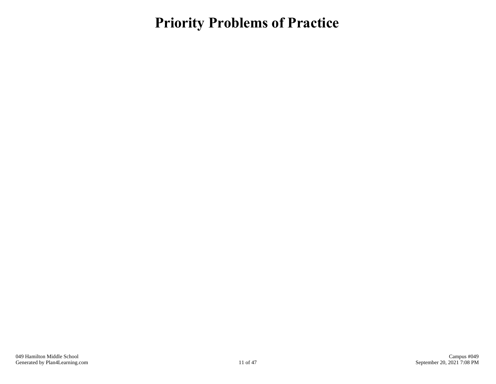## **Priority Problems of Practice**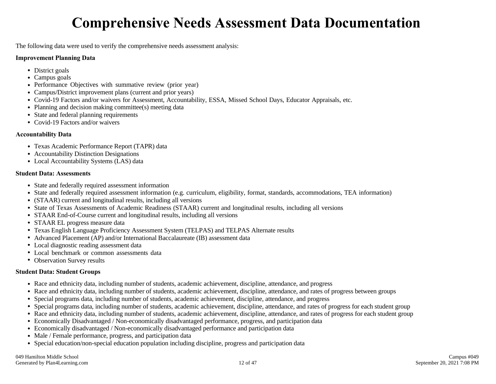## **Comprehensive Needs Assessment Data Documentation**

The following data were used to verify the comprehensive needs assessment analysis:

#### **Improvement Planning Data**

- District goals
- Campus goals
- Performance Objectives with summative review (prior year)
- Campus/District improvement plans (current and prior years)
- Covid-19 Factors and/or waivers for Assessment, Accountability, ESSA, Missed School Days, Educator Appraisals, etc.
- Planning and decision making committee(s) meeting data
- State and federal planning requirements
- Covid-19 Factors and/or waivers

### **Accountability Data**

- Texas Academic Performance Report (TAPR) data
- Accountability Distinction Designations
- Local Accountability Systems (LAS) data

#### **Student Data: Assessments**

- State and federally required assessment information
- State and federally required assessment information (e.g. curriculum, eligibility, format, standards, accommodations, TEA information)
- (STAAR) current and longitudinal results, including all versions
- State of Texas Assessments of Academic Readiness (STAAR) current and longitudinal results, including all versions
- STAAR End-of-Course current and longitudinal results, including all versions
- STAAR EL progress measure data
- Texas English Language Proficiency Assessment System (TELPAS) and TELPAS Alternate results
- Advanced Placement (AP) and/or International Baccalaureate (IB) assessment data
- Local diagnostic reading assessment data
- Local benchmark or common assessments data
- Observation Survey results

### **Student Data: Student Groups**

- Race and ethnicity data, including number of students, academic achievement, discipline, attendance, and progress
- Race and ethnicity data, including number of students, academic achievement, discipline, attendance, and rates of progress between groups
- Special programs data, including number of students, academic achievement, discipline, attendance, and progress
- Special programs data, including number of students, academic achievement, discipline, attendance, and rates of progress for each student group
- Race and ethnicity data, including number of students, academic achievement, discipline, attendance, and rates of progress for each student group
- Economically Disadvantaged / Non-economically disadvantaged performance, progress, and participation data
- Economically disadvantaged / Non-economically disadvantaged performance and participation data
- Male / Female performance, progress, and participation data
- Special education/non-special education population including discipline, progress and participation data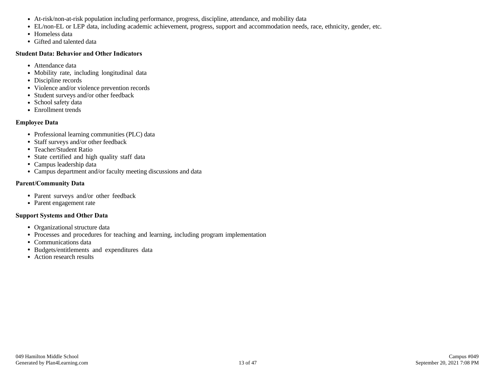- At-risk/non-at-risk population including performance, progress, discipline, attendance, and mobility data
- EL/non-EL or LEP data, including academic achievement, progress, support and accommodation needs, race, ethnicity, gender, etc.
- Homeless data
- Gifted and talented data

### **Student Data: Behavior and Other Indicators**

- Attendance data
- Mobility rate, including longitudinal data
- Discipline records
- Violence and/or violence prevention records
- Student surveys and/or other feedback
- School safety data
- Enrollment trends

### **Employee Data**

- Professional learning communities (PLC) data
- Staff surveys and/or other feedback
- Teacher/Student Ratio
- State certified and high quality staff data
- Campus leadership data
- Campus department and/or faculty meeting discussions and data

### **Parent/Community Data**

- Parent surveys and/or other feedback
- Parent engagement rate

### **Support Systems and Other Data**

- Organizational structure data
- Processes and procedures for teaching and learning, including program implementation
- Communications data
- Budgets/entitlements and expenditures data
- Action research results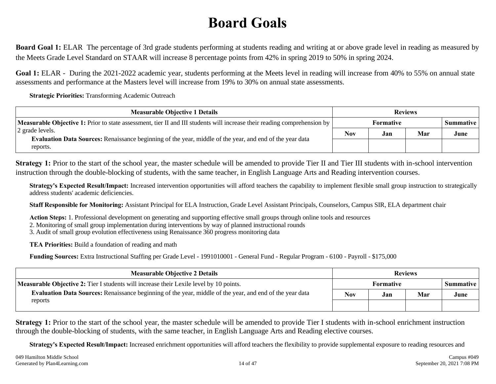## **Board Goals**

**Board Goal 1:** ELAR The percentage of 3rd grade students performing at students reading and writing at or above grade level in reading as measured by the Meets Grade Level Standard on STAAR will increase 8 percentage points from 42% in spring 2019 to 50% in spring 2024.

**Goal 1:** ELAR - During the 2021-2022 academic year, students performing at the Meets level in reading will increase from 40% to 55% on annual state assessments and performance at the Masters level will increase from 19% to 30% on annual state assessments.

**Strategic Priorities:** Transforming Academic Outreach

| <b>Measurable Objective 1 Details</b>                                                                                           | <b>Reviews</b>   |     |     |           |
|---------------------------------------------------------------------------------------------------------------------------------|------------------|-----|-----|-----------|
| <b>Measurable Objective 1:</b> Prior to state assessment, tier II and III students will increase their reading comprehension by | <b>Formative</b> |     |     | Summative |
| 2 grade levels.                                                                                                                 |                  | Jan | Mar | June      |
| <b>Evaluation Data Sources:</b> Renaissance beginning of the year, middle of the year, and end of the year data<br>reports.     |                  |     |     |           |

**Strategy 1:** Prior to the start of the school year, the master schedule will be amended to provide Tier II and Tier III students with in-school intervention instruction through the double-blocking of students, with the same teacher, in English Language Arts and Reading intervention courses.

**Strategy's Expected Result/Impact:** Increased intervention opportunities will afford teachers the capability to implement flexible small group instruction to strategically address students' academic deficiencies.

**Staff Responsible for Monitoring:** Assistant Principal for ELA Instruction, Grade Level Assistant Principals, Counselors, Campus SIR, ELA department chair

**Action Steps:** 1. Professional development on generating and supporting effective small groups through online tools and resources

2. Monitoring of small group implementation during interventions by way of planned instructional rounds

3. Audit of small group evolution effectiveness using Renaissance 360 progress monitoring data

**TEA Priorities:** Build a foundation of reading and math

**Funding Sources:** Extra Instructional Staffing per Grade Level - 1991010001 - General Fund - Regular Program - 6100 - Payroll - \$175,000

| <b>Measurable Objective 2 Details</b>                                                                           | <b>Reviews</b>   |     |     |           |
|-----------------------------------------------------------------------------------------------------------------|------------------|-----|-----|-----------|
| Measurable Objective 2: Tier I students will increase their Lexile level by 10 points.                          | <b>Formative</b> |     |     | Summative |
| <b>Evaluation Data Sources:</b> Renaissance beginning of the year, middle of the year, and end of the year data | <b>Nov</b>       | Jan | Mar | June      |
| reports                                                                                                         |                  |     |     |           |

**Strategy 1:** Prior to the start of the school year, the master schedule will be amended to provide Tier I students with in-school enrichment instruction through the double-blocking of students, with the same teacher, in English Language Arts and Reading elective courses.

**Strategy's Expected Result/Impact:** Increased enrichment opportunities will afford teachers the flexibility to provide supplemental exposure to reading resources and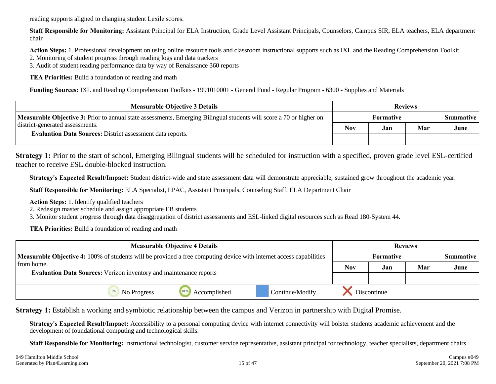reading supports aligned to changing student Lexile scores.

**Staff Responsible for Monitoring:** Assistant Principal for ELA Instruction, Grade Level Assistant Principals, Counselors, Campus SIR, ELA teachers, ELA department chair

**Action Steps:** 1. Professional development on using online resource tools and classroom instructional supports such as IXL and the Reading Comprehension Toolkit 2. Monitoring of student progress through reading logs and data trackers

3. Audit of student reading performance data by way of Renaissance 360 reports

**TEA Priorities:** Build a foundation of reading and math

**Funding Sources:** IXL and Reading Comprehension Toolkits - 1991010001 - General Fund - Regular Program - 6300 - Supplies and Materials

| <b>Measurable Objective 3 Details</b>                                                                                      | <b>Reviews</b>                |     |     |      |
|----------------------------------------------------------------------------------------------------------------------------|-------------------------------|-----|-----|------|
| <b>Measurable Objective 3:</b> Prior to annual state assessments, Emerging Bilingual students will score a 70 or higher on | <b>Formative</b><br>Summative |     |     |      |
| district-generated assessments.<br><b>Evaluation Data Sources: District assessment data reports.</b>                       |                               | Jan | Mar | June |
|                                                                                                                            |                               |     |     |      |

**Strategy 1:** Prior to the start of school, Emerging Bilingual students will be scheduled for instruction with a specified, proven grade level ESL-certified teacher to receive ESL double-blocked instruction.

**Strategy's Expected Result/Impact:** Student district-wide and state assessment data will demonstrate appreciable, sustained grow throughout the academic year.

**Staff Responsible for Monitoring:** ELA Specialist, LPAC, Assistant Principals, Counseling Staff, ELA Department Chair

**Action Steps:** 1. Identify qualified teachers

2. Redesign master schedule and assign appropriate EB students

3. Monitor student progress through data disaggregation of district assessments and ESL-linked digital resources such as Read 180-System 44.

**TEA Priorities:** Build a foundation of reading and math

| <b>Measurable Objective 4 Details</b>                                                                                      |             |                      |                 | <b>Reviews</b> |                  |     |                  |
|----------------------------------------------------------------------------------------------------------------------------|-------------|----------------------|-----------------|----------------|------------------|-----|------------------|
| <b>Measurable Objective 4:</b> 100% of students will be provided a free computing device with internet access capabilities |             |                      |                 |                | <b>Formative</b> |     | <b>Summative</b> |
| from home.                                                                                                                 |             |                      |                 | <b>Nov</b>     | Jan              | Mar | June             |
| <b>Evaluation Data Sources:</b> Verizon inventory and maintenance reports                                                  |             |                      |                 |                |                  |     |                  |
|                                                                                                                            | No Progress | 100%<br>Accomplished | Continue/Modify | Discontinue    |                  |     |                  |

**Strategy 1:** Establish a working and symbiotic relationship between the campus and Verizon in partnership with Digital Promise.

**Strategy's Expected Result/Impact:** Accessibility to a personal computing device with internet connectivity will bolster students academic achievement and the development of foundational computing and technological skills.

**Staff Responsible for Monitoring:** Instructional technologist, customer service representative, assistant principal for technology, teacher specialists, department chairs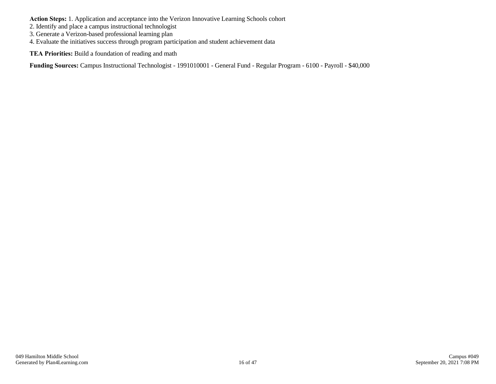**Action Steps:** 1. Application and acceptance into the Verizon Innovative Learning Schools cohort

- 2. Identify and place a campus instructional technologist
- 3. Generate a Verizon-based professional learning plan
- 4. Evaluate the initiatives success through program participation and student achievement data

**TEA Priorities:** Build a foundation of reading and math

**Funding Sources:** Campus Instructional Technologist - 1991010001 - General Fund - Regular Program - 6100 - Payroll - \$40,000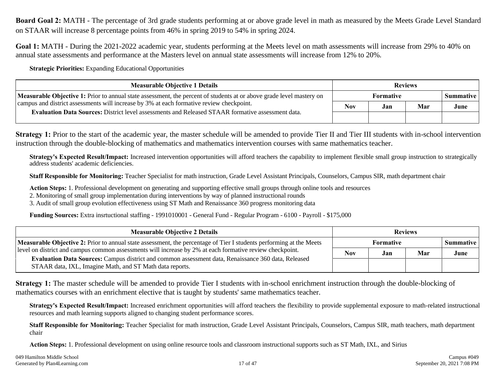**Board Goal 2:** MATH - The percentage of 3rd grade students performing at or above grade level in math as measured by the Meets Grade Level Standard on STAAR will increase 8 percentage points from 46% in spring 2019 to 54% in spring 2024.

**Goal 1:** MATH - During the 2021-2022 academic year, students performing at the Meets level on math assessments will increase from 29% to 40% on annual state assessments and performance at the Masters level on annual state assessments will increase from 12% to 20%.

**Strategic Priorities:** Expanding Educational Opportunities

| <b>Measurable Objective 1 Details</b>                                                                                                                                                                                   | <b>Reviews</b> |                          |     |      |
|-------------------------------------------------------------------------------------------------------------------------------------------------------------------------------------------------------------------------|----------------|--------------------------|-----|------|
| <b>Measurable Objective 1:</b> Prior to annual state assessment, the percent of students at or above grade level mastery on<br>campus and district assessments will increase by 3% at each formative review checkpoint. |                | Formative<br>Summative I |     |      |
|                                                                                                                                                                                                                         |                | Jan                      | Mar | June |
| Evaluation Data Sources: District level assessments and Released STAAR formative assessment data.                                                                                                                       |                |                          |     |      |

**Strategy 1:** Prior to the start of the academic year, the master schedule will be amended to provide Tier II and Tier III students with in-school intervention instruction through the double-blocking of mathematics and mathematics intervention courses with same mathematics teacher.

**Strategy's Expected Result/Impact:** Increased intervention opportunities will afford teachers the capability to implement flexible small group instruction to strategically address students' academic deficiencies.

**Staff Responsible for Monitoring:** Teacher Specialist for math instruction, Grade Level Assistant Principals, Counselors, Campus SIR, math department chair

**Action Steps:** 1. Professional development on generating and supporting effective small groups through online tools and resources

2. Monitoring of small group implementation during interventions by way of planned instructional rounds

3. Audit of small group evolution effectiveness using ST Math and Renaissance 360 progress monitoring data

**Funding Sources:** Extra insrtuctional staffing - 1991010001 - General Fund - Regular Program - 6100 - Payroll - \$175,000

| <b>Measurable Objective 2 Details</b>                                                                                                                           | <b>Reviews</b> |     |     |                    |
|-----------------------------------------------------------------------------------------------------------------------------------------------------------------|----------------|-----|-----|--------------------|
| <b>Measurable Objective 2:</b> Prior to annual state assessment, the percentage of Tier I students performing at the Meets                                      | Formative      |     |     | <b>Summative</b> I |
| level on district and campus common assessments will increase by 2% at each formative review checkpoint.                                                        | <b>Nov</b>     | Jan | Mar | June               |
| Evaluation Data Sources: Campus district and common assessment data, Renaissance 360 data, Released<br>STAAR data, IXL, Imagine Math, and ST Math data reports. |                |     |     |                    |

**Strategy 1:** The master schedule will be amended to provide Tier I students with in-school enrichment instruction through the double-blocking of mathematics courses with an enrichment elective that is taught by students' same mathematics teacher.

**Strategy's Expected Result/Impact:** Increased enrichment opportunities will afford teachers the flexibility to provide supplemental exposure to math-related instructional resources and math learning supports aligned to changing student performance scores.

**Staff Responsible for Monitoring:** Teacher Specialist for math instruction, Grade Level Assistant Principals, Counselors, Campus SIR, math teachers, math department chair

**Action Steps:** 1. Professional development on using online resource tools and classroom instructional supports such as ST Math, IXL, and Sirius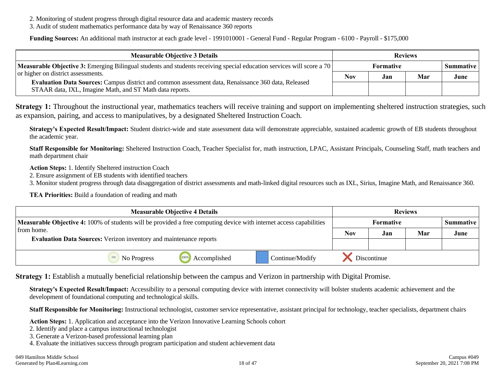- 2. Monitoring of student progress through digital resource data and academic mastery records
- 3. Audit of student mathematics performance data by way of Renaissance 360 reports

**Funding Sources:** An additional math instructor at each grade level - 1991010001 - General Fund - Regular Program - 6100 - Payroll - \$175,000

| <b>Measurable Objective 3 Details</b>                                                                                                                                                                 | <b>Reviews</b> |     |     |                  |
|-------------------------------------------------------------------------------------------------------------------------------------------------------------------------------------------------------|----------------|-----|-----|------------------|
| <b>Measurable Objective 3:</b> Emerging Bilingual students and students receiving special education services will score a 70                                                                          | Formative      |     |     | <b>Summative</b> |
| or higher on district assessments.<br>Evaluation Data Sources: Campus district and common assessment data, Renaissance 360 data, Released<br>STAAR data, IXL, Imagine Math, and ST Math data reports. |                | Jan | Mar | June             |
|                                                                                                                                                                                                       |                |     |     |                  |

**Strategy 1:** Throughout the instructional year, mathematics teachers will receive training and support on implementing sheltered instruction strategies, such as expansion, pairing, and access to manipulatives, by a designated Sheltered Instruction Coach.

**Strategy's Expected Result/Impact:** Student district-wide and state assessment data will demonstrate appreciable, sustained academic growth of EB students throughout the academic year.

**Staff Responsible for Monitoring:** Sheltered Instruction Coach, Teacher Specialist for, math instruction, LPAC, Assistant Principals, Counseling Staff, math teachers and math department chair

**Action Steps:** 1. Identify Sheltered instruction Coach

2. Ensure assignment of EB students with identified teachers

3. Monitor student progress through data disaggregation of district assessments and math-linked digital resources such as IXL, Sirius, Imagine Math, and Renaissance 360.

**TEA Priorities:** Build a foundation of reading and math

| <b>Measurable Objective 4 Details</b>                                                                                      |             |              |                 | <b>Reviews</b> |                  |     |                  |
|----------------------------------------------------------------------------------------------------------------------------|-------------|--------------|-----------------|----------------|------------------|-----|------------------|
| <b>Measurable Objective 4:</b> 100% of students will be provided a free computing device with internet access capabilities |             |              |                 |                | <b>Formative</b> |     | <b>Summative</b> |
| from home.                                                                                                                 |             |              |                 |                | Jan              | Mar | June             |
| <b>Evaluation Data Sources:</b> Verizon inventory and maintenance reports                                                  |             |              |                 |                |                  |     |                  |
|                                                                                                                            | No Progress | Accomplished | Continue/Modify | Discontinue    |                  |     |                  |

**Strategy 1:** Establish a mutually beneficial relationship between the campus and Verizon in partnership with Digital Promise.

**Strategy's Expected Result/Impact:** Accessibility to a personal computing device with internet connectivity will bolster students academic achievement and the development of foundational computing and technological skills.

**Staff Responsible for Monitoring:** Instructional technologist, customer service representative, assistant principal for technology, teacher specialists, department chairs

**Action Steps:** 1. Application and acceptance into the Verizon Innovative Learning Schools cohort

- 2. Identify and place a campus instructional technologist
- 3. Generate a Verizon-based professional learning plan
- 4. Evaluate the initiatives success through program participation and student achievement data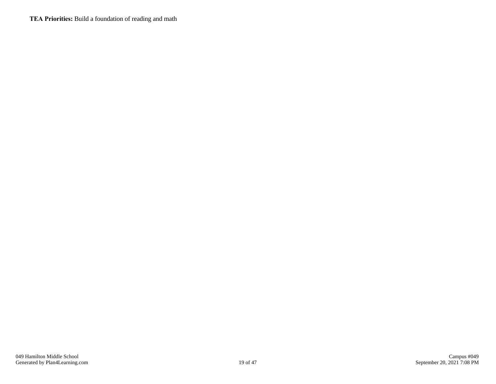**TEA Priorities:** Build a foundation of reading and math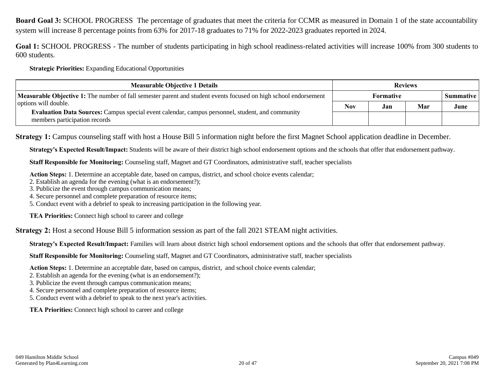**Board Goal 3:** SCHOOL PROGRESS The percentage of graduates that meet the criteria for CCMR as measured in Domain 1 of the state accountability system will increase 8 percentage points from 63% for 2017-18 graduates to 71% for 2022-2023 graduates reported in 2024.

**Goal 1:** SCHOOL PROGRESS - The number of students participating in high school readiness-related activities will increase 100% from 300 students to 600 students.

**Strategic Priorities:** Expanding Educational Opportunities

| <b>Measurable Objective 1 Details</b>                                                                                                                     | <b>Reviews</b> |     |     |           |
|-----------------------------------------------------------------------------------------------------------------------------------------------------------|----------------|-----|-----|-----------|
| Measurable Objective 1: The number of fall semester parent and student events focused on high school endorsement                                          | Formative      |     |     | Summative |
| options will double.<br>Evaluation Data Sources: Campus special event calendar, campus personnel, student, and community<br>members participation records |                | Jan | Mar | June      |
|                                                                                                                                                           |                |     |     |           |

**Strategy 1:** Campus counseling staff with host a House Bill 5 information night before the first Magnet School application deadline in December.

**Strategy's Expected Result/Impact:** Students will be aware of their district high school endorsement options and the schools that offer that endorsement pathway.

**Staff Responsible for Monitoring:** Counseling staff, Magnet and GT Coordinators, administrative staff, teacher specialists

**Action Steps:** 1. Determine an acceptable date, based on campus, district, and school choice events calendar;

2. Establish an agenda for the evening (what is an endorsement?);

3. Publicize the event through campus communication means;

4. Secure personnel and complete preparation of resource items;

5. Conduct event with a debrief to speak to increasing participation in the following year.

**TEA Priorities:** Connect high school to career and college

**Strategy 2:** Host a second House Bill 5 information session as part of the fall 2021 STEAM night activities.

**Strategy's Expected Result/Impact:** Families will learn about district high school endorsement options and the schools that offer that endorsement pathway.

**Staff Responsible for Monitoring:** Counseling staff, Magnet and GT Coordinators, administrative staff, teacher specialists

**Action Steps:** 1. Determine an acceptable date, based on campus, district, and school choice events calendar;

2. Establish an agenda for the evening (what is an endorsement?);

- 3. Publicize the event through campus communication means;
- 4. Secure personnel and complete preparation of resource items;

5. Conduct event with a debrief to speak to the next year's activities.

**TEA Priorities:** Connect high school to career and college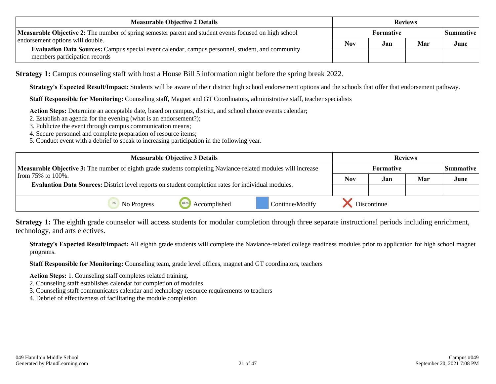| <b>Measurable Objective 2 Details</b>                                                                                                                                 | <b>Reviews</b>   |     |     |                    |
|-----------------------------------------------------------------------------------------------------------------------------------------------------------------------|------------------|-----|-----|--------------------|
| Measurable Objective 2: The number of spring semester parent and student events focused on high school                                                                | <b>Formative</b> |     |     | <b>Summative</b> I |
| endorsement options will double.<br>Evaluation Data Sources: Campus special event calendar, campus personnel, student, and community<br>members participation records |                  | Jan | Mar | June               |
|                                                                                                                                                                       |                  |     |     |                    |

**Strategy 1:** Campus counseling staff with host a House Bill 5 information night before the spring break 2022.

**Strategy's Expected Result/Impact:** Students will be aware of their district high school endorsement options and the schools that offer that endorsement pathway.

**Staff Responsible for Monitoring:** Counseling staff, Magnet and GT Coordinators, administrative staff, teacher specialists

**Action Steps:** Determine an acceptable date, based on campus, district, and school choice events calendar;

2. Establish an agenda for the evening (what is an endorsement?);

3. Publicize the event through campus communication means;

4. Secure personnel and complete preparation of resource items;

5. Conduct event with a debrief to speak to increasing participation in the following year.

| <b>Measurable Objective 3 Details</b>                                                                                |                                                                                                            |              |                 | <b>Reviews</b> |           |     |      |
|----------------------------------------------------------------------------------------------------------------------|------------------------------------------------------------------------------------------------------------|--------------|-----------------|----------------|-----------|-----|------|
| <b>Measurable Objective 3:</b> The number of eighth grade students completing Naviance-related modules will increase |                                                                                                            |              |                 |                | Summative |     |      |
| from $75\%$ to $100\%$ .                                                                                             |                                                                                                            |              |                 | <b>Nov</b>     | Jan       | Mar | June |
|                                                                                                                      | <b>Evaluation Data Sources:</b> District level reports on student completion rates for individual modules. |              |                 |                |           |     |      |
|                                                                                                                      | No Progress                                                                                                | Accomplished | Continue/Modify | Discontinue    |           |     |      |

**Strategy 1:** The eighth grade counselor will access students for modular completion through three separate instructional periods including enrichment, technology, and arts electives.

**Strategy's Expected Result/Impact:** All eighth grade students will complete the Naviance-related college readiness modules prior to application for high school magnet programs.

**Staff Responsible for Monitoring:** Counseling team, grade level offices, magnet and GT coordinators, teachers

**Action Steps:** 1. Counseling staff completes related training.

2. Counseling staff establishes calendar for completion of modules

3. Counseling staff communicates calendar and technology resource requirements to teachers

4. Debrief of effectiveness of facilitating the module completion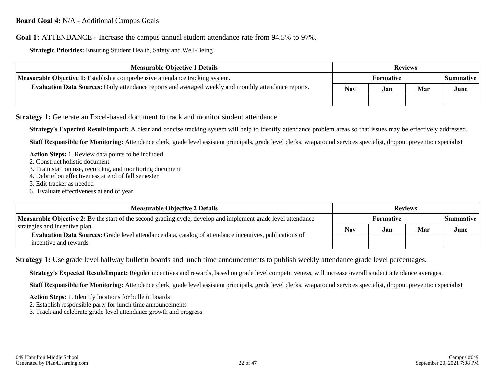**Goal 1:** ATTENDANCE - Increase the campus annual student attendance rate from 94.5% to 97%.

**Strategic Priorities:** Ensuring Student Health, Safety and Well-Being

| <b>Measurable Objective 1 Details</b>                                                                 | <b>Reviews</b> |     |     |                  |
|-------------------------------------------------------------------------------------------------------|----------------|-----|-----|------------------|
| <b>Measurable Objective 1:</b> Establish a comprehensive attendance tracking system.                  | Formative      |     |     | <b>Summative</b> |
| Evaluation Data Sources: Daily attendance reports and averaged weekly and monthly attendance reports. |                | Jan | Mar | June             |
|                                                                                                       |                |     |     |                  |

**Strategy 1:** Generate an Excel-based document to track and monitor student attendance

**Strategy's Expected Result/Impact:** A clear and concise tracking system will help to identify attendance problem areas so that issues may be effectively addressed.

**Staff Responsible for Monitoring:** Attendance clerk, grade level assistant principals, grade level clerks, wraparound services specialist, dropout prevention specialist

**Action Steps:** 1. Review data points to be included

- 2. Construct holistic document
- 3. Train staff on use, recording, and monitoring document
- 4. Debrief on effectiveness at end of fall semester
- 5. Edit tracker as needed
- 6. Evaluate effectiveness at end of year

| <b>Measurable Objective 2 Details</b>                                                                                                                                     | <b>Reviews</b> |     |     |                    |
|---------------------------------------------------------------------------------------------------------------------------------------------------------------------------|----------------|-----|-----|--------------------|
| <b>Measurable Objective 2:</b> By the start of the second grading cycle, develop and implement grade level attendance                                                     | Formative      |     |     | <b>Summative</b> I |
| strategies and incentive plan.<br><b>Evaluation Data Sources:</b> Grade level attendance data, catalog of attendance incentives, publications of<br>incentive and rewards |                | Jan | Mar | June               |
|                                                                                                                                                                           |                |     |     |                    |

**Strategy 1:** Use grade level hallway bulletin boards and lunch time announcements to publish weekly attendance grade level percentages.

**Strategy's Expected Result/Impact:** Regular incentives and rewards, based on grade level competitiveness, will increase overall student attendance averages.

**Staff Responsible for Monitoring:** Attendance clerk, grade level assistant principals, grade level clerks, wraparound services specialist, dropout prevention specialist

**Action Steps:** 1. Identify locations for bulletin boards

2. Establish responsible party for lunch time announcements

3. Track and celebrate grade-level attendance growth and progress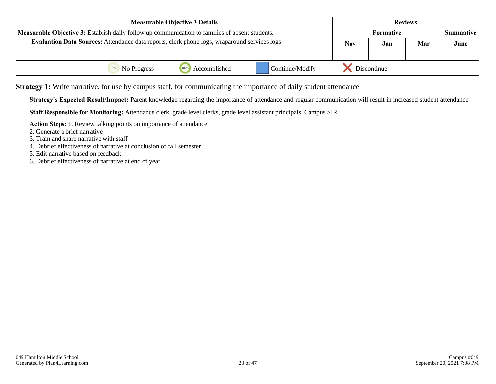| <b>Measurable Objective 3 Details</b>                                                               |                           |                      | <b>Reviews</b>                |     |             |      |  |
|-----------------------------------------------------------------------------------------------------|---------------------------|----------------------|-------------------------------|-----|-------------|------|--|
| Measurable Objective 3: Establish daily follow up communication to families of absent students.     |                           |                      | <b>Formative</b><br>Summative |     |             |      |  |
| <b>Evaluation Data Sources:</b> Attendance data reports, clerk phone logs, wraparound services logs |                           |                      | Nov                           | Jan | Mar         | June |  |
|                                                                                                     |                           |                      |                               |     |             |      |  |
|                                                                                                     | <sup>0%</sup> No Progress | 1009<br>Accomplished | Continue/Modify               |     | Discontinue |      |  |

**Strategy 1:** Write narrative, for use by campus staff, for communicating the importance of daily student attendance

**Strategy's Expected Result/Impact:** Parent knowledge regarding the importance of attendance and regular communication will result in increased student attendance

**Staff Responsible for Monitoring:** Attendance clerk, grade level clerks, grade level assistant principals, Campus SIR

**Action Steps:** 1. Review talking points on importance of attendance

- 2. Generate a brief narrative
- 3. Train and share narrative with staff
- 4. Debrief effectiveness of narrative at conclusion of fall semester

5. Edit narrative based on feedback

6. Debrief effectiveness of narrative at end of year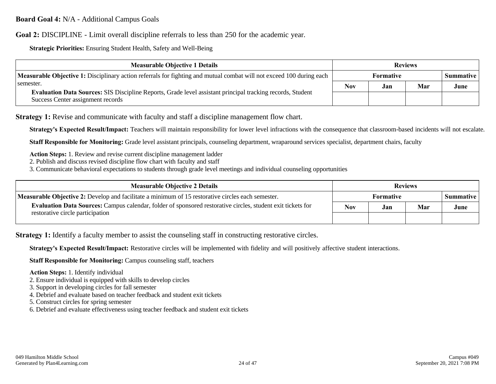**Board Goal 4:** N/A - Additional Campus Goals

**Goal 2:** DISCIPLINE - Limit overall discipline referrals to less than 250 for the academic year.

**Strategic Priorities:** Ensuring Student Health, Safety and Well-Being

| <b>Measurable Objective 1 Details</b>                                                                                                                               |                  | <b>Reviews</b> |     |                  |  |
|---------------------------------------------------------------------------------------------------------------------------------------------------------------------|------------------|----------------|-----|------------------|--|
| <b>Measurable Objective 1:</b> Disciplinary action referrals for fighting and mutual combat will not exceed 100 during each                                         | <b>Formative</b> |                |     | <b>Summative</b> |  |
| semester.<br><b>Evaluation Data Sources:</b> SIS Discipline Reports, Grade level assistant principal tracking records, Student<br>Success Center assignment records |                  | Jan            | Mar | June             |  |
|                                                                                                                                                                     |                  |                |     |                  |  |

**Strategy 1:** Revise and communicate with faculty and staff a discipline management flow chart.

**Strategy's Expected Result/Impact:** Teachers will maintain responsibility for lower level infractions with the consequence that classroom-based incidents will not escalate.

**Staff Responsible for Monitoring:** Grade level assistant principals, counseling department, wraparound services specialist, department chairs, faculty

**Action Steps:** 1. Review and revise current discipline management ladder

2. Publish and discuss revised discipline flow chart with faculty and staff

3. Communicate behavioral expectations to students through grade level meetings and individual counseling opportunities

| <b>Measurable Objective 2 Details</b>                                                                              | <b>Reviews</b>   |     |     |                  |
|--------------------------------------------------------------------------------------------------------------------|------------------|-----|-----|------------------|
| <b>Measurable Objective 2:</b> Develop and facilitate a minimum of 15 restorative circles each semester.           | <b>Formative</b> |     |     | <b>Summative</b> |
| <b>Evaluation Data Sources:</b> Campus calendar, folder of sponsored restorative circles, student exit tickets for |                  | Jan | Mar | June             |
| restorative circle participation                                                                                   |                  |     |     |                  |

**Strategy 1:** Identify a faculty member to assist the counseling staff in constructing restorative circles.

**Strategy's Expected Result/Impact:** Restorative circles will be implemented with fidelity and will positively affective student interactions.

**Staff Responsible for Monitoring:** Campus counseling staff, teachers

**Action Steps:** 1. Identify individual

2. Ensure individual is equipped with skills to develop circles

- 3. Support in developing circles for fall semester
- 4. Debrief and evaluate based on teacher feedback and student exit tickets
- 5. Construct circles for spring semester

6. Debrief and evaluate effectiveness using teacher feedback and student exit tickets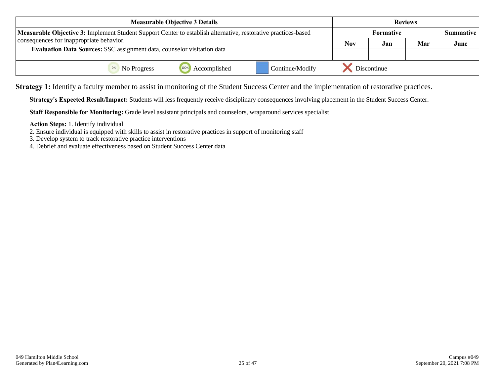| <b>Measurable Objective 3 Details</b>                                                                          |             |                  | <b>Reviews</b> |                  |
|----------------------------------------------------------------------------------------------------------------|-------------|------------------|----------------|------------------|
| Measurable Objective 3: Implement Student Support Center to establish alternative, restorative practices-based |             | <b>Formative</b> |                | <b>Summative</b> |
| consequences for inappropriate behavior.                                                                       | <b>Nov</b>  | Jan              | Mar            | June             |
| Evaluation Data Sources: SSC assignment data, counselor visitation data                                        |             |                  |                |                  |
| Continue/Modify<br>Accomplished<br><sup>0%</sup> No Progress                                                   | Discontinue |                  |                |                  |

**Strategy 1:** Identify a faculty member to assist in monitoring of the Student Success Center and the implementation of restorative practices.

**Strategy's Expected Result/Impact:** Students will less frequently receive disciplinary consequences involving placement in the Student Success Center.

**Staff Responsible for Monitoring:** Grade level assistant principals and counselors, wraparound services specialist

**Action Steps:** 1. Identify individual

2. Ensure individual is equipped with skills to assist in restorative practices in support of monitoring staff

3. Develop system to track restorative practice interventions

4. Debrief and evaluate effectiveness based on Student Success Center data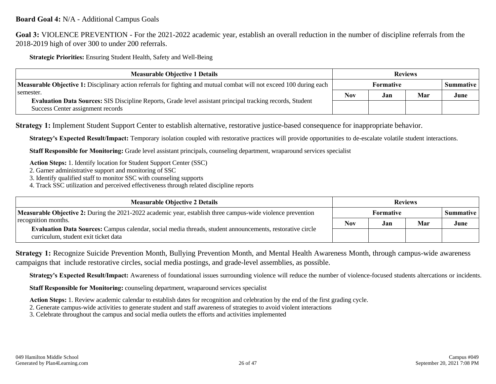### **Board Goal 4:** N/A - Additional Campus Goals

**Goal 3:** VIOLENCE PREVENTION - For the 2021-2022 academic year, establish an overall reduction in the number of discipline referrals from the 2018-2019 high of over 300 to under 200 referrals.

**Strategic Priorities:** Ensuring Student Health, Safety and Well-Being

| <b>Measurable Objective 1 Details</b>                                                                                                                               |                  | <b>Reviews</b> |     |                  |  |
|---------------------------------------------------------------------------------------------------------------------------------------------------------------------|------------------|----------------|-----|------------------|--|
| <b>Measurable Objective 1:</b> Disciplinary action referrals for fighting and mutual combat will not exceed 100 during each                                         | <b>Formative</b> |                |     | <b>Summative</b> |  |
| semester.<br><b>Evaluation Data Sources:</b> SIS Discipline Reports, Grade level assistant principal tracking records, Student<br>Success Center assignment records |                  | Jan            | Mar | June             |  |
|                                                                                                                                                                     |                  |                |     |                  |  |

**Strategy 1:** Implement Student Support Center to establish alternative, restorative justice-based consequence for inappropriate behavior.

**Strategy's Expected Result/Impact:** Temporary isolation coupled with restorative practices will provide opportunities to de-escalate volatile student interactions.

**Staff Responsible for Monitoring:** Grade level assistant principals, counseling department, wraparound services specialist

**Action Steps:** 1. Identify location for Student Support Center (SSC)

- 2. Garner administrative support and monitoring of SSC
- 3. Identify qualified staff to monitor SSC with counseling supports
- 4. Track SSC utilization and perceived effectiveness through related discipline reports

| <b>Measurable Objective 2 Details</b>                                                                                                             |                  | <b>Reviews</b> |     |                    |  |
|---------------------------------------------------------------------------------------------------------------------------------------------------|------------------|----------------|-----|--------------------|--|
| Measurable Objective 2: During the 2021-2022 academic year, establish three campus-wide violence prevention                                       | <b>Formative</b> |                |     | <b>Summative</b> I |  |
| recognition months.                                                                                                                               | Nov              | Jan            | Mar | June               |  |
| Evaluation Data Sources: Campus calendar, social media threads, student announcements, restorative circle<br>curriculum, student exit ticket data |                  |                |     |                    |  |

**Strategy 1:** Recognize Suicide Prevention Month, Bullying Prevention Month, and Mental Health Awareness Month, through campus-wide awareness campaigns that include restorative circles, social media postings, and grade-level assemblies, as possible.

**Strategy's Expected Result/Impact:** Awareness of foundational issues surrounding violence will reduce the number of violence-focused students altercations or incidents.

**Staff Responsible for Monitoring:** counseling department, wraparound services specialist

**Action Steps:** 1. Review academic calendar to establish dates for recognition and celebration by the end of the first grading cycle.

2. Generate campus-wide activities to generate student and staff awareness of strategies to avoid violent interactions

3. Celebrate throughout the campus and social media outlets the efforts and activities implemented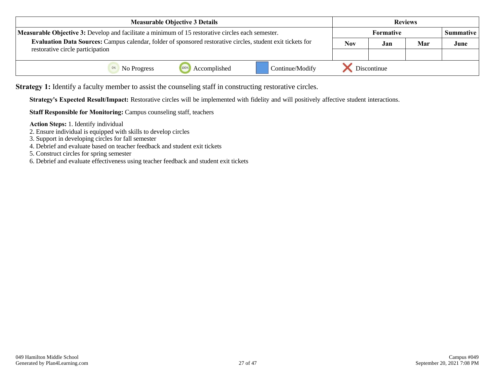| <b>Measurable Objective 3 Details</b>                                                                       |     |                  | <b>Reviews</b> |                  |
|-------------------------------------------------------------------------------------------------------------|-----|------------------|----------------|------------------|
| <b>Measurable Objective 3:</b> Develop and facilitate a minimum of 15 restorative circles each semester.    |     | <b>Formative</b> |                | <b>Summative</b> |
| Evaluation Data Sources: Campus calendar, folder of sponsored restorative circles, student exit tickets for | Nov | Jan              | Mar            | June             |
| restorative circle participation                                                                            |     |                  |                |                  |
| 1009<br>Continue/Modify<br>Accomplished<br><sup>0%</sup> No Progress                                        |     | Discontinue      |                |                  |

**Strategy 1:** Identify a faculty member to assist the counseling staff in constructing restorative circles.

**Strategy's Expected Result/Impact:** Restorative circles will be implemented with fidelity and will positively affective student interactions.

**Staff Responsible for Monitoring:** Campus counseling staff, teachers

**Action Steps:** 1. Identify individual

- 2. Ensure individual is equipped with skills to develop circles
- 3. Support in developing circles for fall semester
- 4. Debrief and evaluate based on teacher feedback and student exit tickets

5. Construct circles for spring semester

6. Debrief and evaluate effectiveness using teacher feedback and student exit tickets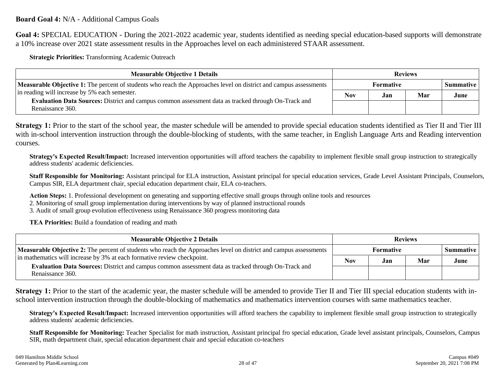**Goal 4:** SPECIAL EDUCATION - During the 2021-2022 academic year, students identified as needing special education-based supports will demonstrate a 10% increase over 2021 state assessment results in the Approaches level on each administered STAAR assessment.

**Strategic Priorities:** Transforming Academic Outreach

| <b>Measurable Objective 1 Details</b>                                                                                          |                  | <b>Reviews</b> |     |           |  |
|--------------------------------------------------------------------------------------------------------------------------------|------------------|----------------|-----|-----------|--|
| <b>Measurable Objective 1:</b> The percent of students who reach the Approaches level on district and campus assessments       | <b>Formative</b> |                |     | Summative |  |
| in reading will increase by 5% each semester.                                                                                  | <b>Nov</b>       | Jan.           | Mar | June      |  |
| <b>Evaluation Data Sources:</b> District and campus common assessment data as tracked through On-Track and<br>Renaissance 360. |                  |                |     |           |  |

**Strategy 1:** Prior to the start of the school year, the master schedule will be amended to provide special education students identified as Tier II and Tier III with in-school intervention instruction through the double-blocking of students, with the same teacher, in English Language Arts and Reading intervention courses.

**Strategy's Expected Result/Impact:** Increased intervention opportunities will afford teachers the capability to implement flexible small group instruction to strategically address students' academic deficiencies.

**Staff Responsible for Monitoring:** Assistant principal for ELA instruction, Assistant principal for special education services, Grade Level Assistant Principals, Counselors, Campus SIR, ELA department chair, special education department chair, ELA co-teachers.

**Action Steps:** 1. Professional development on generating and supporting effective small groups through online tools and resources

2. Monitoring of small group implementation during interventions by way of planned instructional rounds

3. Audit of small group evolution effectiveness using Renaissance 360 progress monitoring data

**TEA Priorities:** Build a foundation of reading and math

| <b>Measurable Objective 2 Details</b>                                                                                                                                                                                                                                                                                                 | <b>Reviews</b> |                               |     |      |  |
|---------------------------------------------------------------------------------------------------------------------------------------------------------------------------------------------------------------------------------------------------------------------------------------------------------------------------------------|----------------|-------------------------------|-----|------|--|
| <b>Measurable Objective 2:</b> The percent of students who reach the Approaches level on district and campus assessments<br>in mathematics will increase by 3% at each formative review checkpoint.<br><b>Evaluation Data Sources:</b> District and campus common assessment data as tracked through On-Track and<br>Renaissance 360. |                | Formative<br><b>Summative</b> |     |      |  |
|                                                                                                                                                                                                                                                                                                                                       |                | Jan.                          | Mar | June |  |
|                                                                                                                                                                                                                                                                                                                                       |                |                               |     |      |  |

Strategy 1: Prior to the start of the academic year, the master schedule will be amended to provide Tier II and Tier III special education students with inschool intervention instruction through the double-blocking of mathematics and mathematics intervention courses with same mathematics teacher.

**Strategy's Expected Result/Impact:** Increased intervention opportunities will afford teachers the capability to implement flexible small group instruction to strategically address students' academic deficiencies.

**Staff Responsible for Monitoring:** Teacher Specialist for math instruction, Assistant principal fro special education, Grade level assistant principals, Counselors, Campus SIR, math department chair, special education department chair and special education co-teachers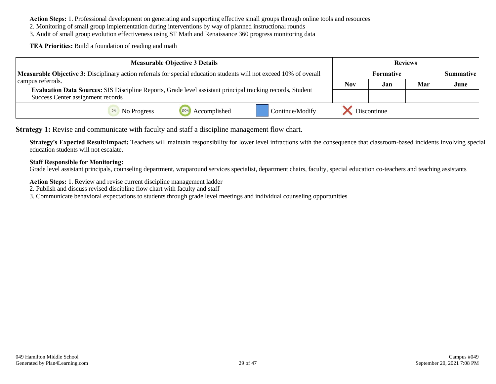**Action Steps:** 1. Professional development on generating and supporting effective small groups through online tools and resources

2. Monitoring of small group implementation during interventions by way of planned instructional rounds

3. Audit of small group evolution effectiveness using ST Math and Renaissance 360 progress monitoring data

**TEA Priorities:** Build a foundation of reading and math

| <b>Measurable Objective 3 Details</b>                                                                                      |             |                                                                                                            | <b>Reviews</b>  |                                      |     |     |      |
|----------------------------------------------------------------------------------------------------------------------------|-------------|------------------------------------------------------------------------------------------------------------|-----------------|--------------------------------------|-----|-----|------|
| <b>Measurable Objective 3:</b> Disciplinary action referrals for special education students will not exceed 10% of overall |             |                                                                                                            |                 | <b>Formative</b><br><b>Summative</b> |     |     |      |
| campus referrals.                                                                                                          |             |                                                                                                            |                 | <b>Nov</b>                           | Jan | Mar | June |
| Success Center assignment records                                                                                          |             | Evaluation Data Sources: SIS Discipline Reports, Grade level assistant principal tracking records, Student |                 |                                      |     |     |      |
|                                                                                                                            | No Progress | Accomplished                                                                                               | Continue/Modify | Discontinue                          |     |     |      |

**Strategy 1:** Revise and communicate with faculty and staff a discipline management flow chart.

**Strategy's Expected Result/Impact:** Teachers will maintain responsibility for lower level infractions with the consequence that classroom-based incidents involving special education students will not escalate.

### **Staff Responsible for Monitoring:**

Grade level assistant principals, counseling department, wraparound services specialist, department chairs, faculty, special education co-teachers and teaching assistants

**Action Steps:** 1. Review and revise current discipline management ladder

2. Publish and discuss revised discipline flow chart with faculty and staff

3. Communicate behavioral expectations to students through grade level meetings and individual counseling opportunities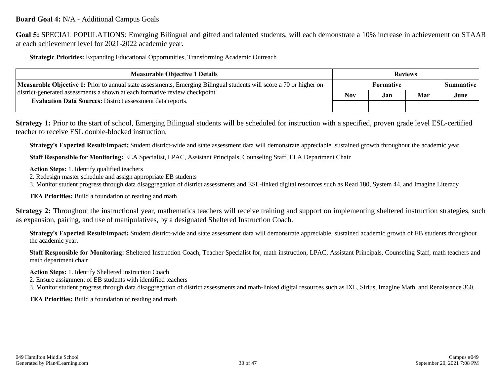### **Board Goal 4:** N/A - Additional Campus Goals

**Goal 5:** SPECIAL POPULATIONS: Emerging Bilingual and gifted and talented students, will each demonstrate a 10% increase in achievement on STAAR at each achievement level for 2021-2022 academic year.

**Strategic Priorities:** Expanding Educational Opportunities, Transforming Academic Outreach

| <b>Measurable Objective 1 Details</b>                                                                                      | <b>Reviews</b>                       |      |     |      |
|----------------------------------------------------------------------------------------------------------------------------|--------------------------------------|------|-----|------|
| <b>Measurable Objective 1:</b> Prior to annual state assessments, Emerging Bilingual students will score a 70 or higher on | <b>Formative</b><br><b>Summative</b> |      |     |      |
| district-generated assessments a shown at each formative review checkpoint.                                                |                                      | .Jan | Mar | June |
| <b>Evaluation Data Sources: District assessment data reports.</b>                                                          |                                      |      |     |      |

**Strategy 1:** Prior to the start of school, Emerging Bilingual students will be scheduled for instruction with a specified, proven grade level ESL-certified teacher to receive ESL double-blocked instruction.

**Strategy's Expected Result/Impact:** Student district-wide and state assessment data will demonstrate appreciable, sustained growth throughout the academic year.

**Staff Responsible for Monitoring:** ELA Specialist, LPAC, Assistant Principals, Counseling Staff, ELA Department Chair

**Action Steps:** 1. Identify qualified teachers

2. Redesign master schedule and assign appropriate EB students

3. Monitor student progress through data disaggregation of district assessments and ESL-linked digital resources such as Read 180, System 44, and Imagine Literacy

**TEA Priorities:** Build a foundation of reading and math

**Strategy 2:** Throughout the instructional year, mathematics teachers will receive training and support on implementing sheltered instruction strategies, such as expansion, pairing, and use of manipulatives, by a designated Sheltered Instruction Coach.

**Strategy's Expected Result/Impact:** Student district-wide and state assessment data will demonstrate appreciable, sustained academic growth of EB students throughout the academic year.

**Staff Responsible for Monitoring:** Sheltered Instruction Coach, Teacher Specialist for, math instruction, LPAC, Assistant Principals, Counseling Staff, math teachers and math department chair

**Action Steps:** 1. Identify Sheltered instruction Coach

2. Ensure assignment of EB students with identified teachers

3. Monitor student progress through data disaggregation of district assessments and math-linked digital resources such as IXL, Sirius, Imagine Math, and Renaissance 360.

**TEA Priorities:** Build a foundation of reading and math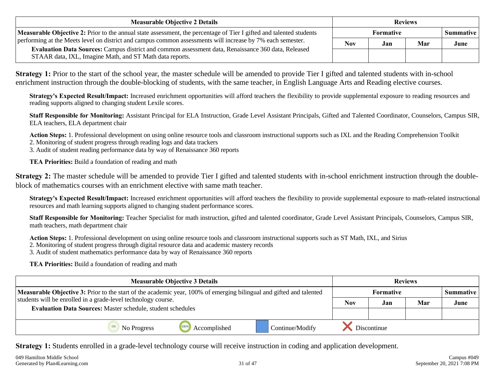| <b>Measurable Objective 2 Details</b>                                                                                                                           | <b>Reviews</b>           |  |  |           |
|-----------------------------------------------------------------------------------------------------------------------------------------------------------------|--------------------------|--|--|-----------|
| <b>Measurable Objective 2:</b> Prior to the annual state assessment, the percentage of Tier I gifted and talented students                                      | <b>Formative</b>         |  |  | Summative |
| performing at the Meets level on district and campus common assessments will increase by 7% each semester.                                                      | <b>Nov</b><br>Mar<br>Jan |  |  | June      |
| Evaluation Data Sources: Campus district and common assessment data, Renaissance 360 data, Released<br>STAAR data, IXL, Imagine Math, and ST Math data reports. |                          |  |  |           |

**Strategy 1:** Prior to the start of the school year, the master schedule will be amended to provide Tier I gifted and talented students with in-school enrichment instruction through the double-blocking of students, with the same teacher, in English Language Arts and Reading elective courses.

**Strategy's Expected Result/Impact:** Increased enrichment opportunities will afford teachers the flexibility to provide supplemental exposure to reading resources and reading supports aligned to changing student Lexile scores.

**Staff Responsible for Monitoring:** Assistant Principal for ELA Instruction, Grade Level Assistant Principals, Gifted and Talented Coordinator, Counselors, Campus SIR, ELA teachers, ELA department chair

**Action Steps:** 1. Professional development on using online resource tools and classroom instructional supports such as IXL and the Reading Comprehension Toolkit 2. Monitoring of student progress through reading logs and data trackers

3. Audit of student reading performance data by way of Renaissance 360 reports

**TEA Priorities:** Build a foundation of reading and math

**Strategy 2:** The master schedule will be amended to provide Tier I gifted and talented students with in-school enrichment instruction through the doubleblock of mathematics courses with an enrichment elective with same math teacher.

**Strategy's Expected Result/Impact:** Increased enrichment opportunities will afford teachers the flexibility to provide supplemental exposure to math-related instructional resources and math learning supports aligned to changing student performance scores.

**Staff Responsible for Monitoring:** Teacher Specialist for math instruction, gifted and talented coordinator, Grade Level Assistant Principals, Counselors, Campus SIR, math teachers, math department chair

**Action Steps:** 1. Professional development on using online resource tools and classroom instructional supports such as ST Math, IXL, and Sirius

2. Monitoring of student progress through digital resource data and academic mastery records

3. Audit of student mathematics performance data by way of Renaissance 360 reports

**TEA Priorities:** Build a foundation of reading and math

| <b>Measurable Objective 3 Details</b>                                                                                      |             |                      | <b>Reviews</b>                |             |     |     |      |
|----------------------------------------------------------------------------------------------------------------------------|-------------|----------------------|-------------------------------|-------------|-----|-----|------|
| <b>Measurable Objective 3:</b> Prior to the start of the academic year, 100% of emerging bilingual and gifted and talented |             |                      | Formative<br><b>Summative</b> |             |     |     |      |
| students will be enrolled in a grade-level technology course.                                                              |             |                      |                               | <b>Nov</b>  | Jan | Mar | June |
| <b>Evaluation Data Sources: Master schedule, student schedules</b>                                                         |             |                      |                               |             |     |     |      |
|                                                                                                                            | No Progress | 100%<br>Accomplished | Continue/Modify               | Discontinue |     |     |      |

**Strategy 1:** Students enrolled in a grade-level technology course will receive instruction in coding and application development.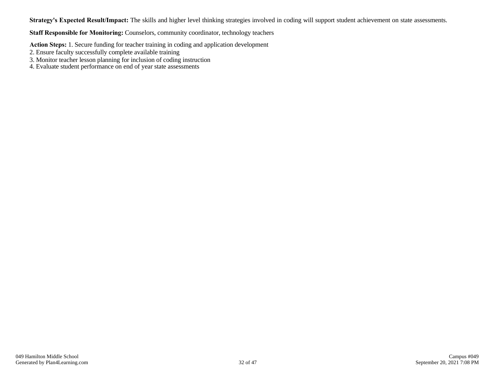**Strategy's Expected Result/Impact:** The skills and higher level thinking strategies involved in coding will support student achievement on state assessments.

**Staff Responsible for Monitoring:** Counselors, community coordinator, technology teachers

**Action Steps:** 1. Secure funding for teacher training in coding and application development

- 2. Ensure faculty successfully complete available training
- 3. Monitor teacher lesson planning for inclusion of coding instruction
- 4. Evaluate student performance on end of year state assessments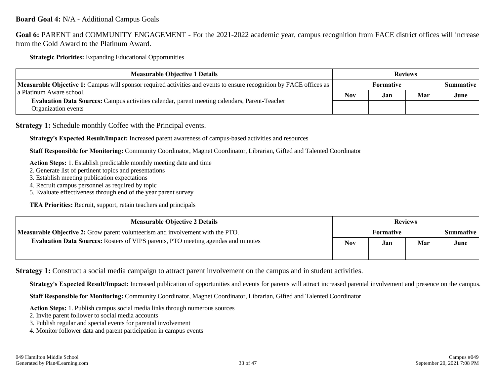**Goal 6:** PARENT and COMMUNITY ENGAGEMENT - For the 2021-2022 academic year, campus recognition from FACE district offices will increase from the Gold Award to the Platinum Award.

**Strategic Priorities:** Expanding Educational Opportunities

| <b>Measurable Objective 1 Details</b>                                                                                       | <b>Reviews</b>                       |     |     |      |
|-----------------------------------------------------------------------------------------------------------------------------|--------------------------------------|-----|-----|------|
| <b>Measurable Objective 1:</b> Campus will sponsor required activities and events to ensure recognition by FACE offices as  | <b>Formative</b><br><b>Summative</b> |     |     |      |
| l a Platinum Aware school.                                                                                                  | <b>Nov</b>                           | Jan | Mar | June |
| <b>Evaluation Data Sources:</b> Campus activities calendar, parent meeting calendars, Parent-Teacher<br>Organization events |                                      |     |     |      |

**Strategy 1:** Schedule monthly Coffee with the Principal events.

**Strategy's Expected Result/Impact:** Increased parent awareness of campus-based activities and resources

**Staff Responsible for Monitoring:** Community Coordinator, Magnet Coordinator, Librarian, Gifted and Talented Coordinator

**Action Steps:** 1. Establish predictable monthly meeting date and time

- 2. Generate list of pertinent topics and presentations
- 3. Establish meeting publication expectations
- 4. Recruit campus personnel as required by topic
- 5. Evaluate effectiveness through end of the year parent survey

**TEA Priorities:** Recruit, support, retain teachers and principals

| <b>Measurable Objective 2 Details</b>                                                    | <b>Reviews</b>   |     |     |                  |
|------------------------------------------------------------------------------------------|------------------|-----|-----|------------------|
| <b>Measurable Objective 2:</b> Grow parent volunteerism and involvement with the PTO.    | <b>Formative</b> |     |     | <b>Summative</b> |
| <b>Evaluation Data Sources:</b> Rosters of VIPS parents, PTO meeting agendas and minutes | Nov              | Jan | Mar | June             |
|                                                                                          |                  |     |     |                  |

**Strategy 1:** Construct a social media campaign to attract parent involvement on the campus and in student activities.

**Strategy's Expected Result/Impact:** Increased publication of opportunities and events for parents will attract increased parental involvement and presence on the campus.

**Staff Responsible for Monitoring:** Community Coordinator, Magnet Coordinator, Librarian, Gifted and Talented Coordinator

**Action Steps:** 1. Publish campus social media links through numerous sources

2. Invite parent follower to social media accounts

3. Publish regular and special events for parental involvement

4. Monitor follower data and parent participation in campus events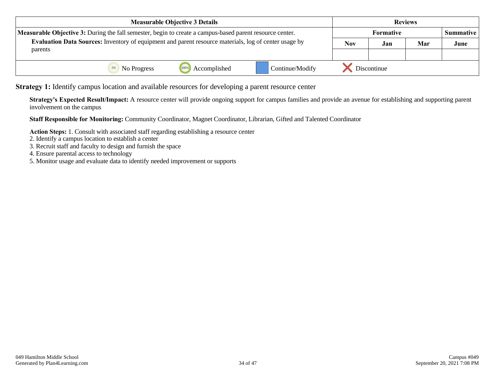| <b>Measurable Objective 3 Details</b>                                                                           |  |                      | <b>Reviews</b>                         |             |     |      |  |
|-----------------------------------------------------------------------------------------------------------------|--|----------------------|----------------------------------------|-------------|-----|------|--|
| <b>Measurable Objective 3:</b> During the fall semester, begin to create a campus-based parent resource center. |  |                      | <b>Formative</b><br><b>Summative</b> I |             |     |      |  |
| <b>Evaluation Data Sources:</b> Inventory of equipment and parent resource materials, log of center usage by    |  |                      | Nov                                    | Jan         | Mar | June |  |
| parents                                                                                                         |  |                      |                                        |             |     |      |  |
| <sup>0%</sup> No Progress                                                                                       |  | 100%<br>Accomplished | Continue/Modify                        | Discontinue |     |      |  |

**Strategy 1:** Identify campus location and available resources for developing a parent resource center

**Strategy's Expected Result/Impact:** A resource center will provide ongoing support for campus families and provide an avenue for establishing and supporting parent involvement on the campus

**Staff Responsible for Monitoring:** Community Coordinator, Magnet Coordinator, Librarian, Gifted and Talented Coordinator

**Action Steps:** 1. Consult with associated staff regarding establishing a resource center

- 2. Identify a campus location to establish a center
- 3. Recruit staff and faculty to design and furnish the space
- 4. Ensure parental access to technology
- 5. Monitor usage and evaluate data to identify needed improvement or supports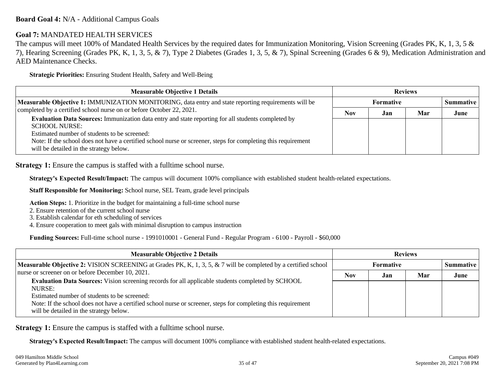### **Board Goal 4:** N/A - Additional Campus Goals

### **Goal 7:** MANDATED HEALTH SERVICES

The campus will meet 100% of Mandated Health Services by the required dates for Immunization Monitoring, Vision Screening (Grades PK, K, 1, 3, 5 & 7), Hearing Screening (Grades PK, K, 1, 3, 5, & 7), Type 2 Diabetes (Grades 1, 3, 5, & 7), Spinal Screening (Grades 6 & 9), Medication Administration and AED Maintenance Checks.

**Strategic Priorities:** Ensuring Student Health, Safety and Well-Being

| <b>Measurable Objective 1 Details</b>                                                                                                                                                                                                                                                                                                  | <b>Reviews</b> |                  |     |      |  |
|----------------------------------------------------------------------------------------------------------------------------------------------------------------------------------------------------------------------------------------------------------------------------------------------------------------------------------------|----------------|------------------|-----|------|--|
| Measurable Objective 1: IMMUNIZATION MONITORING, data entry and state reporting requirements will be                                                                                                                                                                                                                                   |                | <b>Formative</b> |     |      |  |
| completed by a certified school nurse on or before October 22, 2021.                                                                                                                                                                                                                                                                   | Nov            | Jan              | Mar | June |  |
| Evaluation Data Sources: Immunization data entry and state reporting for all students completed by<br><b>SCHOOL NURSE:</b><br>Estimated number of students to be screened:<br>Note: If the school does not have a certified school nurse or screener, steps for completing this requirement<br>will be detailed in the strategy below. |                |                  |     |      |  |

**Strategy 1:** Ensure the campus is staffed with a fulltime school nurse.

**Strategy's Expected Result/Impact:** The campus will document 100% compliance with established student health-related expectations.

**Staff Responsible for Monitoring:** School nurse, SEL Team, grade level principals

**Action Steps:** 1. Prioritize in the budget for maintaining a full-time school nurse

- 2. Ensure retention of the current school nurse
- 3. Establish calendar for eth scheduling of services
- 4. Ensure cooperation to meet gals with minimal disruption to campus instruction

**Funding Sources:** Full-time school nurse - 1991010001 - General Fund - Regular Program - 6100 - Payroll - \$60,000

| <b>Measurable Objective 2 Details</b>                                                                                                                                                                                                                                                            | <b>Reviews</b> |                  |     |      |  |  |
|--------------------------------------------------------------------------------------------------------------------------------------------------------------------------------------------------------------------------------------------------------------------------------------------------|----------------|------------------|-----|------|--|--|
| <b>Measurable Objective 2:</b> VISION SCREENING at Grades PK, K, 1, 3, 5, & 7 will be completed by a certified school<br>nurse or screener on or before December 10, 2021.<br><b>Evaluation Data Sources:</b> Vision screening records for all applicable students completed by SCHOOL<br>NURSE: |                | <b>Summative</b> |     |      |  |  |
|                                                                                                                                                                                                                                                                                                  | <b>Nov</b>     | Jan              | Mar | June |  |  |
|                                                                                                                                                                                                                                                                                                  |                |                  |     |      |  |  |
| Estimated number of students to be screened:                                                                                                                                                                                                                                                     |                |                  |     |      |  |  |
| Note: If the school does not have a certified school nurse or screener, steps for completing this requirement<br>will be detailed in the strategy below.                                                                                                                                         |                |                  |     |      |  |  |

**Strategy 1:** Ensure the campus is staffed with a fulltime school nurse.

**Strategy's Expected Result/Impact:** The campus will document 100% compliance with established student health-related expectations.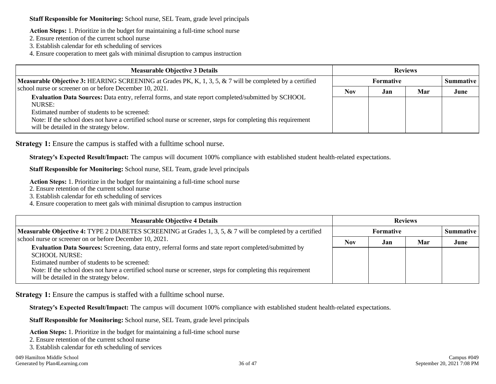**Staff Responsible for Monitoring:** School nurse, SEL Team, grade level principals

**Action Steps:** 1. Prioritize in the budget for maintaining a full-time school nurse

- 2. Ensure retention of the current school nurse
- 3. Establish calendar for eth scheduling of services

4. Ensure cooperation to meet gals with minimal disruption to campus instruction

| <b>Measurable Objective 3 Details</b>                                                                                                                    | <b>Reviews</b> |           |     |      |  |
|----------------------------------------------------------------------------------------------------------------------------------------------------------|----------------|-----------|-----|------|--|
| Measurable Objective 3: HEARING SCREENING at Grades PK, K, 1, 3, 5, & 7 will be completed by a certified                                                 |                | Formative |     |      |  |
| school nurse or screener on or before December 10, 2021.                                                                                                 | <b>Nov</b>     | Jan       | Mar | June |  |
| Evaluation Data Sources: Data entry, referral forms, and state report completed/submitted by SCHOOL<br>NURSE:                                            |                |           |     |      |  |
| Estimated number of students to be screened:                                                                                                             |                |           |     |      |  |
| Note: If the school does not have a certified school nurse or screener, steps for completing this requirement<br>will be detailed in the strategy below. |                |           |     |      |  |

**Strategy 1:** Ensure the campus is staffed with a fulltime school nurse.

**Strategy's Expected Result/Impact:** The campus will document 100% compliance with established student health-related expectations.

**Staff Responsible for Monitoring:** School nurse, SEL Team, grade level principals

**Action Steps:** 1. Prioritize in the budget for maintaining a full-time school nurse

- 2. Ensure retention of the current school nurse
- 3. Establish calendar for eth scheduling of services
- 4. Ensure cooperation to meet gals with minimal disruption to campus instruction

| <b>Measurable Objective 4 Details</b>                                                                                                                    | <b>Reviews</b> |                  |     |      |  |
|----------------------------------------------------------------------------------------------------------------------------------------------------------|----------------|------------------|-----|------|--|
| <b>Measurable Objective 4: TYPE 2 DIABETES SCREENING at Grades 1, 3, 5, &amp; 7 will be completed by a certified</b>                                     |                | <b>Formative</b> |     |      |  |
| school nurse or screener on or before December 10, 2021.                                                                                                 | Nov            | Jan              | Mar | June |  |
| Evaluation Data Sources: Screening, data entry, referral forms and state report completed/submitted by<br><b>SCHOOL NURSE:</b>                           |                |                  |     |      |  |
| Estimated number of students to be screened:                                                                                                             |                |                  |     |      |  |
| Note: If the school does not have a certified school nurse or screener, steps for completing this requirement<br>will be detailed in the strategy below. |                |                  |     |      |  |

**Strategy 1:** Ensure the campus is staffed with a fulltime school nurse.

**Strategy's Expected Result/Impact:** The campus will document 100% compliance with established student health-related expectations.

**Staff Responsible for Monitoring:** School nurse, SEL Team, grade level principals

**Action Steps:** 1. Prioritize in the budget for maintaining a full-time school nurse

2. Ensure retention of the current school nurse

3. Establish calendar for eth scheduling of services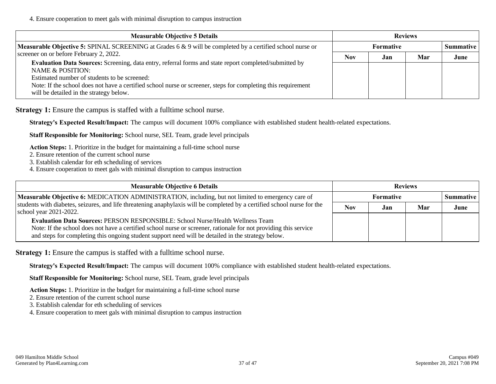4. Ensure cooperation to meet gals with minimal disruption to campus instruction

| <b>Measurable Objective 5 Details</b>                                                                                                                    | <b>Reviews</b> |                    |     |      |
|----------------------------------------------------------------------------------------------------------------------------------------------------------|----------------|--------------------|-----|------|
| <b>Measurable Objective 5: SPINAL SCREENING at Grades 6 &amp; 9 will be completed by a certified school nurse or</b>                                     |                | <b>Summative</b> I |     |      |
| screener on or before February 2, 2022.                                                                                                                  | <b>Nov</b>     | Jan                | Mar | June |
| Evaluation Data Sources: Screening, data entry, referral forms and state report completed/submitted by<br>NAME & POSITION:                               |                |                    |     |      |
| Estimated number of students to be screened:                                                                                                             |                |                    |     |      |
| Note: If the school does not have a certified school nurse or screener, steps for completing this requirement<br>will be detailed in the strategy below. |                |                    |     |      |

**Strategy 1:** Ensure the campus is staffed with a fulltime school nurse.

**Strategy's Expected Result/Impact:** The campus will document 100% compliance with established student health-related expectations.

**Staff Responsible for Monitoring:** School nurse, SEL Team, grade level principals

**Action Steps:** 1. Prioritize in the budget for maintaining a full-time school nurse

- 2. Ensure retention of the current school nurse
- 3. Establish calendar for eth scheduling of services
- 4. Ensure cooperation to meet gals with minimal disruption to campus instruction

| <b>Measurable Objective 6 Details</b>                                                                                                                                                                                                                                                                    | <b>Reviews</b>                  |     |     |      |  |
|----------------------------------------------------------------------------------------------------------------------------------------------------------------------------------------------------------------------------------------------------------------------------------------------------------|---------------------------------|-----|-----|------|--|
| Measurable Objective 6: MEDICATION ADMINISTRATION, including, but not limited to emergency care of                                                                                                                                                                                                       | Formative<br><b>Summative</b> I |     |     |      |  |
| students with diabetes, seizures, and life threatening anaphylaxis will be completed by a certified school nurse for the<br>school year 2021-2022.                                                                                                                                                       |                                 | Jan | Mar | June |  |
| Evaluation Data Sources: PERSON RESPONSIBLE: School Nurse/Health Wellness Team<br>Note: If the school does not have a certified school nurse or screener, rationale for not providing this service<br>and steps for completing this ongoing student support need will be detailed in the strategy below. |                                 |     |     |      |  |

**Strategy 1:** Ensure the campus is staffed with a fulltime school nurse.

**Strategy's Expected Result/Impact:** The campus will document 100% compliance with established student health-related expectations.

**Staff Responsible for Monitoring:** School nurse, SEL Team, grade level principals

**Action Steps:** 1. Prioritize in the budget for maintaining a full-time school nurse

2. Ensure retention of the current school nurse

3. Establish calendar for eth scheduling of services

4. Ensure cooperation to meet gals with minimal disruption to campus instruction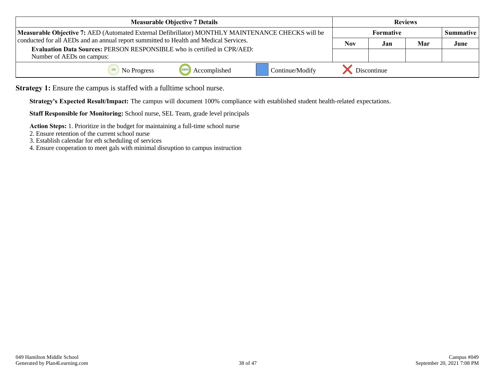| <b>Measurable Objective 7 Details</b>                                                                        |            | <b>Reviews</b>                         |     |      |  |
|--------------------------------------------------------------------------------------------------------------|------------|----------------------------------------|-----|------|--|
| Measurable Objective 7: AED (Automated External Defibrillator) MONTHLY MAINTENANCE CHECKS will be            |            | <b>Formative</b><br><b>Summative</b> I |     |      |  |
| conducted for all AEDs and an annual report summitted to Health and Medical Services.                        | <b>Nov</b> | Jan                                    | Mar | June |  |
| <b>Evaluation Data Sources: PERSON RESPONSIBLE who is certified in CPR/AED:</b><br>Number of AEDs on campus: |            |                                        |     |      |  |
| 1009<br>Continue/Modify<br>Accomplished<br>No Progress                                                       |            | Discontinue                            |     |      |  |

**Strategy 1:** Ensure the campus is staffed with a fulltime school nurse.

**Strategy's Expected Result/Impact:** The campus will document 100% compliance with established student health-related expectations.

**Staff Responsible for Monitoring:** School nurse, SEL Team, grade level principals

**Action Steps:** 1. Prioritize in the budget for maintaining a full-time school nurse

- 2. Ensure retention of the current school nurse
- 3. Establish calendar for eth scheduling of services

4. Ensure cooperation to meet gals with minimal disruption to campus instruction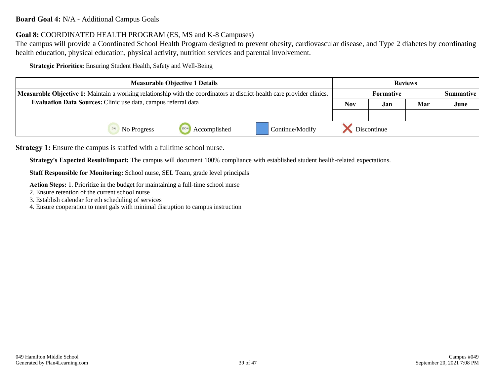### **Board Goal 4:** N/A - Additional Campus Goals

### **Goal 8:** COORDINATED HEALTH PROGRAM (ES, MS and K-8 Campuses)

The campus will provide a Coordinated School Health Program designed to prevent obesity, cardiovascular disease, and Type 2 diabetes by coordinating health education, physical education, physical activity, nutrition services and parental involvement.

**Strategic Priorities:** Ensuring Student Health, Safety and Well-Being

| <b>Measurable Objective 1 Details</b>                                                                                          |              |                 | <b>Reviews</b> |                  |     |                  |
|--------------------------------------------------------------------------------------------------------------------------------|--------------|-----------------|----------------|------------------|-----|------------------|
| <b>Measurable Objective 1:</b> Maintain a working relationship with the coordinators at district-health care provider clinics. |              |                 |                | <b>Formative</b> |     | <b>Summative</b> |
| Evaluation Data Sources: Clinic use data, campus referral data                                                                 |              |                 | <b>Nov</b>     | Jan              | Mar | June             |
|                                                                                                                                |              |                 |                |                  |     |                  |
| No Progress                                                                                                                    | Accomplished | Continue/Modify | Discontinue    |                  |     |                  |

**Strategy 1:** Ensure the campus is staffed with a fulltime school nurse.

**Strategy's Expected Result/Impact:** The campus will document 100% compliance with established student health-related expectations.

**Staff Responsible for Monitoring:** School nurse, SEL Team, grade level principals

**Action Steps:** 1. Prioritize in the budget for maintaining a full-time school nurse

2. Ensure retention of the current school nurse

3. Establish calendar for eth scheduling of services

4. Ensure cooperation to meet gals with minimal disruption to campus instruction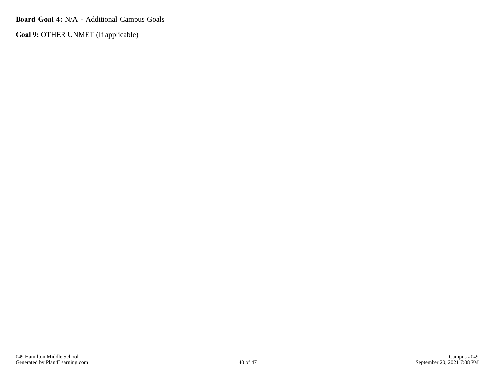**Board Goal 4:** N/A - Additional Campus Goals

**Goal 9:** OTHER UNMET (If applicable)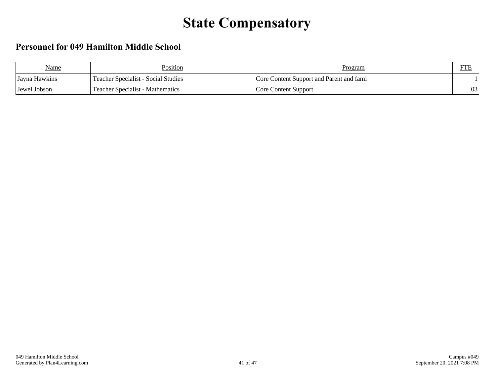## **State Compensatory**

## **Personnel for 049 Hamilton Middle School**

| <b>Name</b>   | Position                                   | <b>Program</b>                           | <b>FTE</b>      |
|---------------|--------------------------------------------|------------------------------------------|-----------------|
| Jayna Hawkins | <b>Teacher Specialist - Social Studies</b> | Core Content Support and Parent and fami |                 |
| Jewel Jobson  | <b>Teacher Specialist - Mathematics</b>    | Core Content Support                     | $\Omega$<br>.UJ |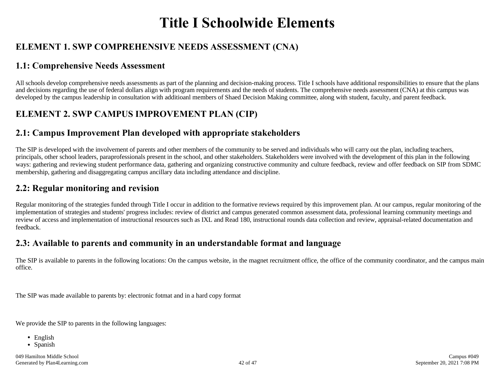## **Title I Schoolwide Elements**

## **ELEMENT 1. SWP COMPREHENSIVE NEEDS ASSESSMENT (CNA)**

### **1.1: Comprehensive Needs Assessment**

All schools develop comprehensive needs assessments as part of the planning and decision-making process. Title I schools have additional responsibilities to ensure that the plans and decisions regarding the use of federal dollars align with program requirements and the needs of students. The comprehensive needs assessment (CNA) at this campus was developed by the campus leadership in consultation with additioanl members of Shaed Decision Making committee, along with student, faculty, and parent feedback.

## **ELEMENT 2. SWP CAMPUS IMPROVEMENT PLAN (CIP)**

### **2.1: Campus Improvement Plan developed with appropriate stakeholders**

The SIP is developed with the involvement of parents and other members of the community to be served and individuals who will carry out the plan, including teachers, principals, other school leaders, paraprofessionals present in the school, and other stakeholders. Stakeholders were involved with the development of this plan in the following ways: gathering and reviewing student performance data, gathering and organizing constructive community and culture feedback, review and offer feedback on SIP from SDMC membership, gathering and disaggregating campus ancillary data including attendance and discipline.

### **2.2: Regular monitoring and revision**

Regular monitoring of the strategies funded through Title I occur in addition to the formative reviews required by this improvement plan. At our campus, regular monitoring of the implementation of strategies and students' progress includes: review of district and campus generated common assessment data, professional learning community meetings and review of access and implementation of instructional resources such as IXL and Read 180, instructional rounds data collection and review, appraisal-related documentation and feedback.

### **2.3: Available to parents and community in an understandable format and language**

The SIP is available to parents in the following locations: On the campus website, in the magnet recruitment office, the office of the community coordinator, and the campus main office.

The SIP was made available to parents by: electronic fotmat and in a hard copy format

We provide the SIP to parents in the following languages:

- English
- Spanish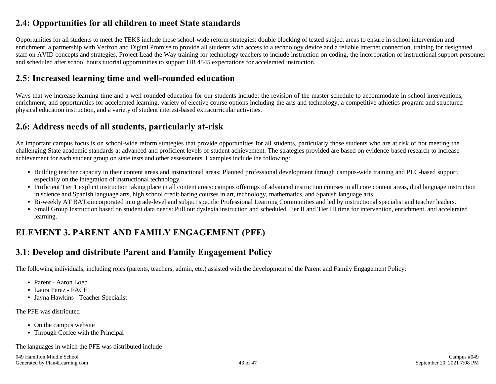## **2.4: Opportunities for all children to meet State standards**

Opportunities for all students to meet the TEKS include these school-wide reform strategies: double blocking of tested subject areas to ensure in-school intervention and enrichment, a partnership with Verizon and Digital Promise to provide all students with access to a technology device and a reliable internet connection, training for designated staff on AVID concepts and strategies, Project Lead the Way training for technology teachers to include instruction on coding, the incorporation of instructional support personnel and scheduled after school hours tutorial opportunities to support HB 4545 expectations for accelerated instruction.

### **2.5: Increased learning time and well-rounded education**

Ways that we increase learning time and a well-rounded education for our students include: the revision of the master schedule to accommodate in-school interventions, enrichment, and opportunities for accelerated learning, variety of elective course options including the arts and technology, a competitive athletics program and structured physical education instruction, and a variety of student interest-based extracurricular activities.

### **2.6: Address needs of all students, particularly at-risk**

An important campus focus is on school-wide reform strategies that provide opportunities for all students, particularly those students who are at risk of not meeting the challenging State academic standards at advanced and proficient levels of student achievement. The strategies provided are based on evidence-based research to increase achievement for each student group on state tests and other assessments. Examples include the following:

- Building teacher capacity in their content areas and instructional areas: Planned professional development through campus-wide training and PLC-based support, especially on the integration of instructional technology.
- Proficient Tier 1 explicit instruction taking place in all content areas: campus offerings of advanced instruction courses in all core content areas, dual language instruction in science and Spanish language arts, high school credit baring courses in art, technology, mathematics, and Spanish language arts.
- Bi-weekly AT BATs:incorporated into grade-level and subject specific Professional Learning Communities and led by instructional specialist and teacher leaders.
- Small Group Instruction based on student data needs: Pull out dyslexia instruction and scheduled Tier II and Tier III time for intervention, enrichment, and accelerated learning.

## **ELEMENT 3. PARENT AND FAMILY ENGAGEMENT (PFE)**

### **3.1: Develop and distribute Parent and Family Engagement Policy**

The following individuals, including roles (parents, teachers, admin, etc.) assisted with the development of the Parent and Family Engagement Policy:

- Parent Aaron Loeb
- Laura Perez FACE
- Jayna Hawkins Teacher Specialist

### The PFE was distributed

- On the campus website
- Through Coffee with the Principal

The languages in which the PFE was distributed include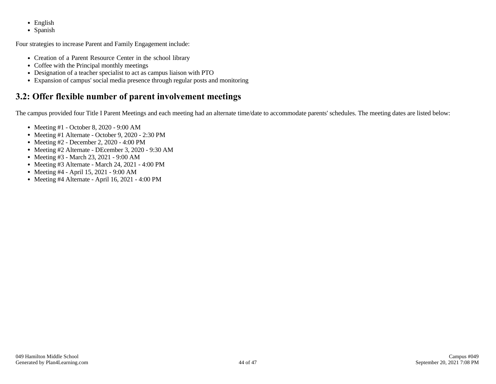- English
- Spanish

Four strategies to increase Parent and Family Engagement include:

- Creation of a Parent Resource Center in the school library
- Coffee with the Principal monthly meetings
- Designation of a teacher specialist to act as campus liaison with PTO
- Expansion of campus' social media presence through regular posts and monitoring

## **3.2: Offer flexible number of parent involvement meetings**

The campus provided four Title I Parent Meetings and each meeting had an alternate time/date to accommodate parents' schedules. The meeting dates are listed below:

- Meeting #1 October 8, 2020 9:00 AM
- Meeting #1 Alternate October 9, 2020 2:30 PM
- Meeting #2 December 2, 2020 4:00 PM
- Meeting #2 Alternate DEcember 3, 2020 9:30 AM
- Meeting #3 March 23, 2021 9:00 AM
- Meeting #3 Alternate March 24, 2021 4:00 PM
- Meeting #4 April 15, 2021 9:00 AM
- Meeting #4 Alternate April 16, 2021 4:00 PM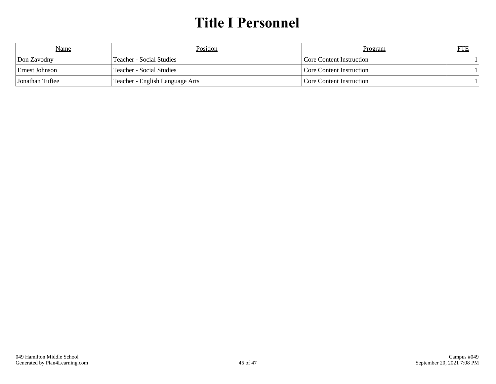## **Title I Personnel**

| <b>Name</b>           | Position                        | Program                  | FTE |
|-----------------------|---------------------------------|--------------------------|-----|
| Don Zavodny           | Teacher - Social Studies        | Core Content Instruction |     |
| <b>Ernest Johnson</b> | Teacher - Social Studies        | Core Content Instruction |     |
| l Jonathan Tuftee     | Teacher - English Language Arts | Core Content Instruction |     |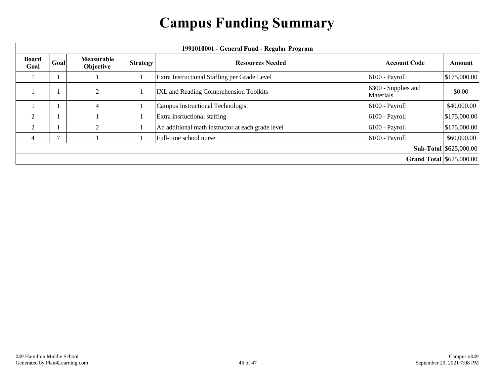## **Campus Funding Summary**

| 1991010001 - General Fund - Regular Program |              |                                |                 |                                                   |                                  |               |
|---------------------------------------------|--------------|--------------------------------|-----------------|---------------------------------------------------|----------------------------------|---------------|
| <b>Board</b><br>Goal                        | Goal         | <b>Measurable</b><br>Objective | <b>Strategy</b> | <b>Resources Needed</b>                           | <b>Account Code</b>              | <b>Amount</b> |
|                                             |              |                                |                 | Extra Instructional Staffing per Grade Level      | 6100 - Payroll                   | \$175,000.00  |
|                                             |              | $\overline{\mathcal{L}}$       |                 | IXL and Reading Comprehension Toolkits            | 6300 - Supplies and<br>Materials | \$0.00        |
|                                             |              | 4                              |                 | Campus Instructional Technologist                 | 6100 - Payroll                   | \$40,000.00   |
| $\overline{2}$                              |              |                                |                 | Extra insrtuctional staffing                      | 6100 - Payroll                   | \$175,000.00  |
| $\overline{2}$                              |              |                                |                 | An additional math instructor at each grade level | 6100 - Payroll                   | \$175,000.00  |
| 4                                           | $\mathbf{r}$ |                                |                 | Full-time school nurse                            | 6100 - Payroll                   | \$60,000.00   |
|                                             |              |                                |                 | <b>Sub-Total \$625,000.00</b>                     |                                  |               |
|                                             |              |                                |                 | <b>Grand Total   \$625,000.00  </b>               |                                  |               |